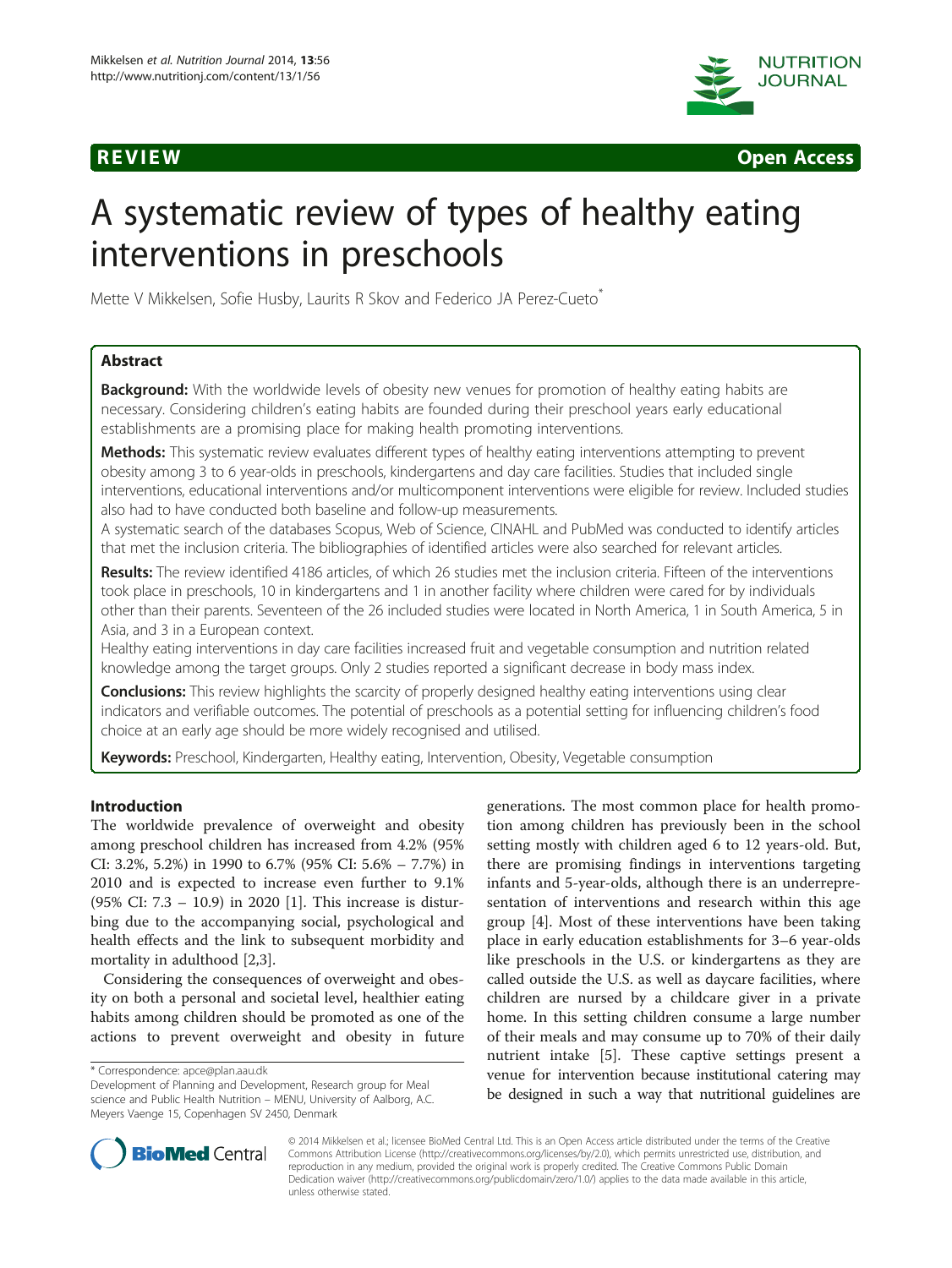



# A systematic review of types of healthy eating interventions in preschools

Mette V Mikkelsen, Sofie Husby, Laurits R Skov and Federico JA Perez-Cueto<sup>®</sup>

# Abstract

**Background:** With the worldwide levels of obesity new venues for promotion of healthy eating habits are necessary. Considering children's eating habits are founded during their preschool years early educational establishments are a promising place for making health promoting interventions.

Methods: This systematic review evaluates different types of healthy eating interventions attempting to prevent obesity among 3 to 6 year-olds in preschools, kindergartens and day care facilities. Studies that included single interventions, educational interventions and/or multicomponent interventions were eligible for review. Included studies also had to have conducted both baseline and follow-up measurements.

A systematic search of the databases Scopus, Web of Science, CINAHL and PubMed was conducted to identify articles that met the inclusion criteria. The bibliographies of identified articles were also searched for relevant articles.

Results: The review identified 4186 articles, of which 26 studies met the inclusion criteria. Fifteen of the interventions took place in preschools, 10 in kindergartens and 1 in another facility where children were cared for by individuals other than their parents. Seventeen of the 26 included studies were located in North America, 1 in South America, 5 in Asia, and 3 in a European context.

Healthy eating interventions in day care facilities increased fruit and vegetable consumption and nutrition related knowledge among the target groups. Only 2 studies reported a significant decrease in body mass index.

Conclusions: This review highlights the scarcity of properly designed healthy eating interventions using clear indicators and verifiable outcomes. The potential of preschools as a potential setting for influencing children's food choice at an early age should be more widely recognised and utilised.

Keywords: Preschool, Kindergarten, Healthy eating, Intervention, Obesity, Vegetable consumption

# Introduction

The worldwide prevalence of overweight and obesity among preschool children has increased from 4.2% (95% CI: 3.2%, 5.2%) in 1990 to 6.7% (95% CI: 5.6% – 7.7%) in 2010 and is expected to increase even further to 9.1% (95% CI: 7.3 – 10.9) in 2020 [[1\]](#page-17-0). This increase is disturbing due to the accompanying social, psychological and health effects and the link to subsequent morbidity and mortality in adulthood [\[2,3](#page-17-0)].

Considering the consequences of overweight and obesity on both a personal and societal level, healthier eating habits among children should be promoted as one of the actions to prevent overweight and obesity in future generations. The most common place for health promotion among children has previously been in the school setting mostly with children aged 6 to 12 years-old. But, there are promising findings in interventions targeting infants and 5-year-olds, although there is an underrepresentation of interventions and research within this age group [[4](#page-17-0)]. Most of these interventions have been taking place in early education establishments for 3–6 year-olds like preschools in the U.S. or kindergartens as they are called outside the U.S. as well as daycare facilities, where children are nursed by a childcare giver in a private home. In this setting children consume a large number of their meals and may consume up to 70% of their daily nutrient intake [\[5](#page-17-0)]. These captive settings present a venue for intervention because institutional catering may be designed in such a way that nutritional guidelines are



© 2014 Mikkelsen et al.; licensee BioMed Central Ltd. This is an Open Access article distributed under the terms of the Creative Commons Attribution License [\(http://creativecommons.org/licenses/by/2.0\)](http://creativecommons.org/licenses/by/2.0), which permits unrestricted use, distribution, and reproduction in any medium, provided the original work is properly credited. The Creative Commons Public Domain Dedication waiver [\(http://creativecommons.org/publicdomain/zero/1.0/](http://creativecommons.org/publicdomain/zero/1.0/)) applies to the data made available in this article, unless otherwise stated.

<sup>\*</sup> Correspondence: [apce@plan.aau.dk](mailto:apce@plan.aau.dk)

Development of Planning and Development, Research group for Meal science and Public Health Nutrition – MENU, University of Aalborg, A.C. Meyers Vaenge 15, Copenhagen SV 2450, Denmark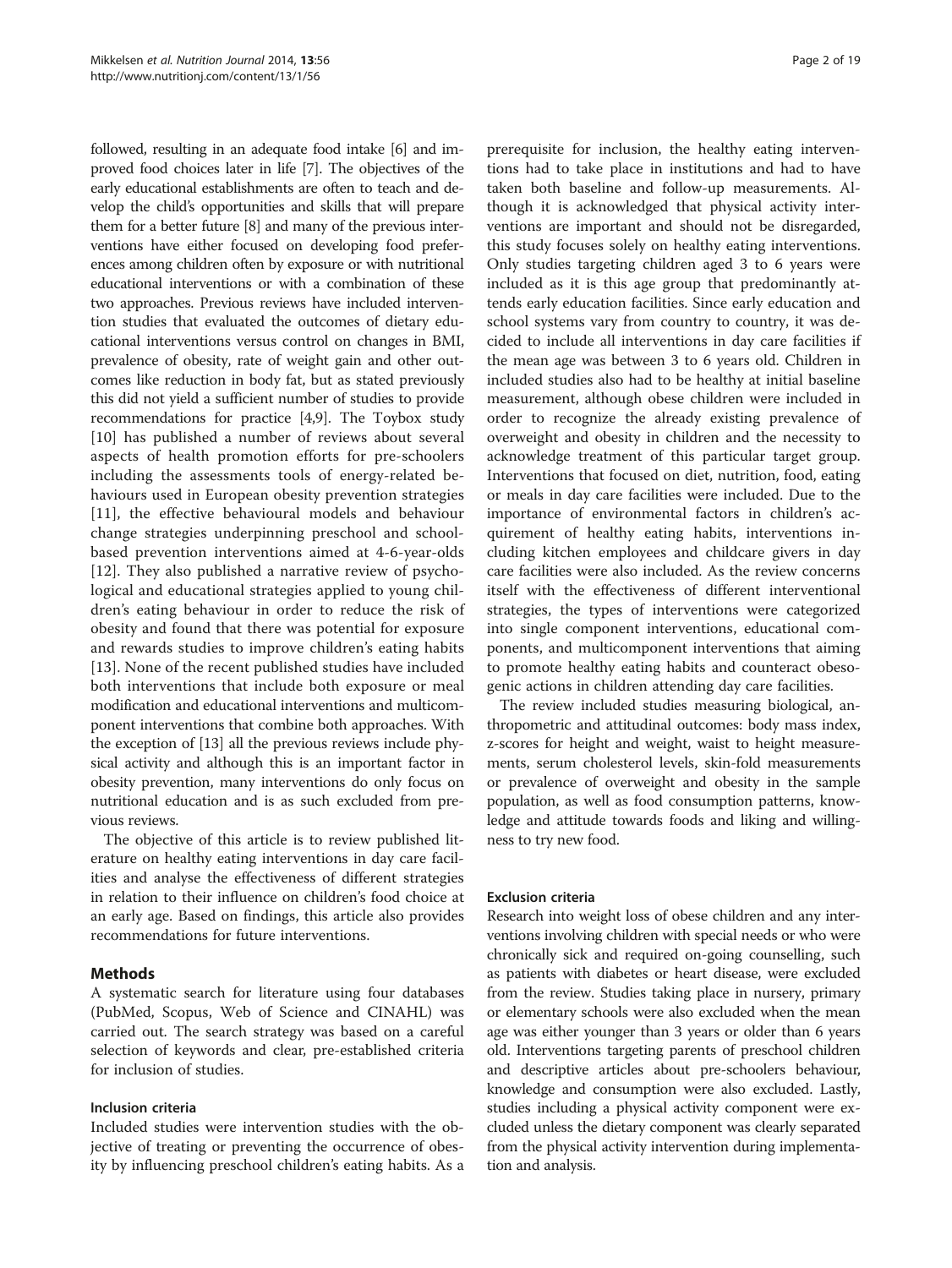followed, resulting in an adequate food intake [\[6\]](#page-17-0) and improved food choices later in life [\[7\]](#page-17-0). The objectives of the early educational establishments are often to teach and develop the child's opportunities and skills that will prepare them for a better future [\[8](#page-17-0)] and many of the previous interventions have either focused on developing food preferences among children often by exposure or with nutritional educational interventions or with a combination of these two approaches. Previous reviews have included intervention studies that evaluated the outcomes of dietary educational interventions versus control on changes in BMI, prevalence of obesity, rate of weight gain and other outcomes like reduction in body fat, but as stated previously this did not yield a sufficient number of studies to provide recommendations for practice [\[4,9](#page-17-0)]. The Toybox study [[10\]](#page-18-0) has published a number of reviews about several aspects of health promotion efforts for pre-schoolers including the assessments tools of energy-related behaviours used in European obesity prevention strategies [[11\]](#page-18-0), the effective behavioural models and behaviour change strategies underpinning preschool and schoolbased prevention interventions aimed at 4-6-year-olds [[12\]](#page-18-0). They also published a narrative review of psychological and educational strategies applied to young children's eating behaviour in order to reduce the risk of obesity and found that there was potential for exposure and rewards studies to improve children's eating habits [[13\]](#page-18-0). None of the recent published studies have included both interventions that include both exposure or meal modification and educational interventions and multicomponent interventions that combine both approaches. With the exception of [[13](#page-18-0)] all the previous reviews include physical activity and although this is an important factor in obesity prevention, many interventions do only focus on nutritional education and is as such excluded from previous reviews.

The objective of this article is to review published literature on healthy eating interventions in day care facilities and analyse the effectiveness of different strategies in relation to their influence on children's food choice at an early age. Based on findings, this article also provides recommendations for future interventions.

# Methods

A systematic search for literature using four databases (PubMed, Scopus, Web of Science and CINAHL) was carried out. The search strategy was based on a careful selection of keywords and clear, pre-established criteria for inclusion of studies.

# Inclusion criteria

Included studies were intervention studies with the objective of treating or preventing the occurrence of obesity by influencing preschool children's eating habits. As a

prerequisite for inclusion, the healthy eating interventions had to take place in institutions and had to have taken both baseline and follow-up measurements. Although it is acknowledged that physical activity interventions are important and should not be disregarded, this study focuses solely on healthy eating interventions. Only studies targeting children aged 3 to 6 years were included as it is this age group that predominantly attends early education facilities. Since early education and school systems vary from country to country, it was decided to include all interventions in day care facilities if the mean age was between 3 to 6 years old. Children in included studies also had to be healthy at initial baseline measurement, although obese children were included in order to recognize the already existing prevalence of overweight and obesity in children and the necessity to acknowledge treatment of this particular target group. Interventions that focused on diet, nutrition, food, eating or meals in day care facilities were included. Due to the importance of environmental factors in children's acquirement of healthy eating habits, interventions including kitchen employees and childcare givers in day care facilities were also included. As the review concerns itself with the effectiveness of different interventional strategies, the types of interventions were categorized into single component interventions, educational components, and multicomponent interventions that aiming to promote healthy eating habits and counteract obesogenic actions in children attending day care facilities.

The review included studies measuring biological, anthropometric and attitudinal outcomes: body mass index, z-scores for height and weight, waist to height measurements, serum cholesterol levels, skin-fold measurements or prevalence of overweight and obesity in the sample population, as well as food consumption patterns, knowledge and attitude towards foods and liking and willingness to try new food.

## Exclusion criteria

Research into weight loss of obese children and any interventions involving children with special needs or who were chronically sick and required on-going counselling, such as patients with diabetes or heart disease, were excluded from the review. Studies taking place in nursery, primary or elementary schools were also excluded when the mean age was either younger than 3 years or older than 6 years old. Interventions targeting parents of preschool children and descriptive articles about pre-schoolers behaviour, knowledge and consumption were also excluded. Lastly, studies including a physical activity component were excluded unless the dietary component was clearly separated from the physical activity intervention during implementation and analysis.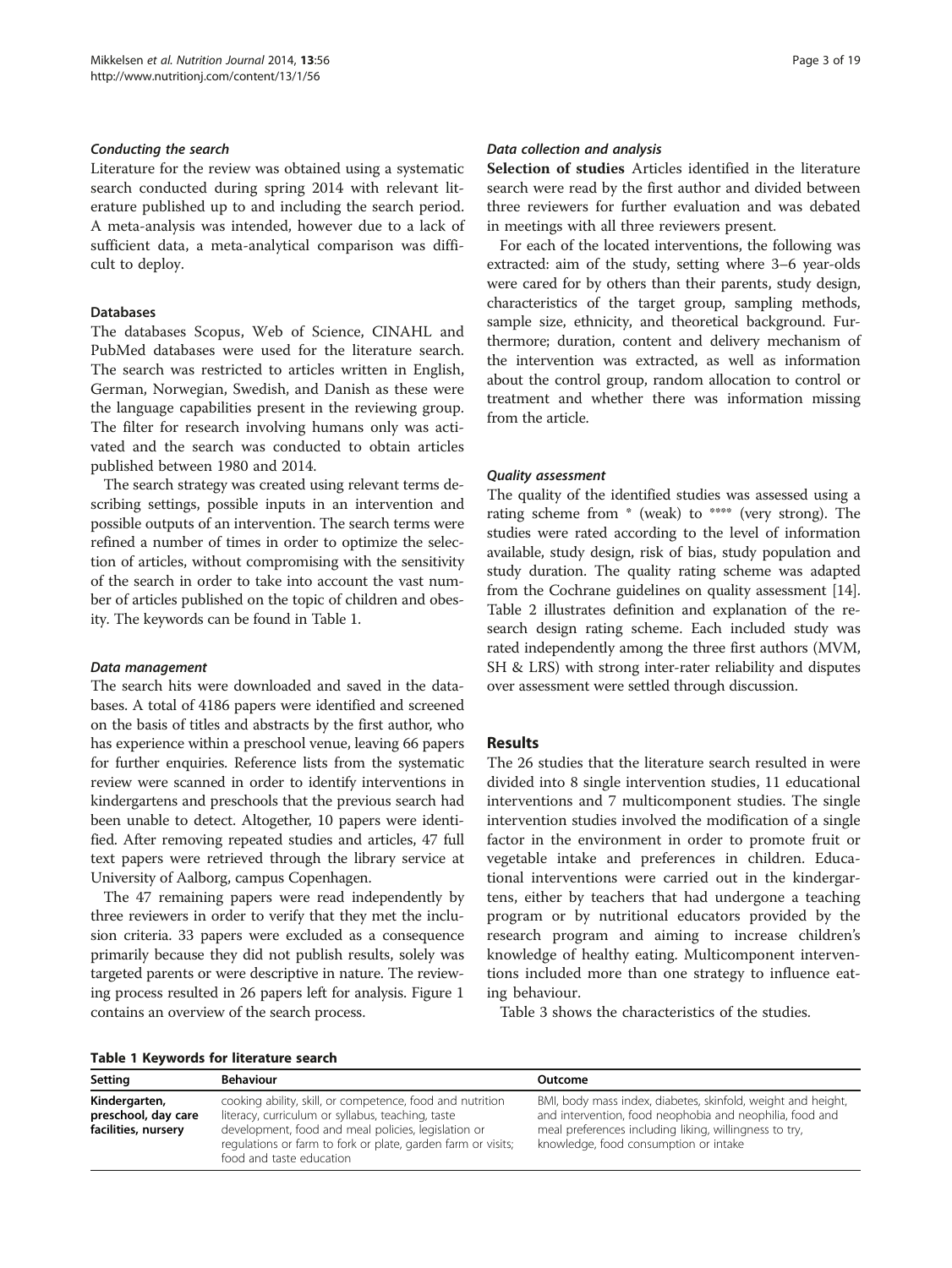#### Conducting the search

Literature for the review was obtained using a systematic search conducted during spring 2014 with relevant literature published up to and including the search period. A meta-analysis was intended, however due to a lack of sufficient data, a meta-analytical comparison was difficult to deploy.

# Databases

The databases Scopus, Web of Science, CINAHL and PubMed databases were used for the literature search. The search was restricted to articles written in English, German, Norwegian, Swedish, and Danish as these were the language capabilities present in the reviewing group. The filter for research involving humans only was activated and the search was conducted to obtain articles published between 1980 and 2014.

The search strategy was created using relevant terms describing settings, possible inputs in an intervention and possible outputs of an intervention. The search terms were refined a number of times in order to optimize the selection of articles, without compromising with the sensitivity of the search in order to take into account the vast number of articles published on the topic of children and obesity. The keywords can be found in Table 1.

#### Data management

The search hits were downloaded and saved in the databases. A total of 4186 papers were identified and screened on the basis of titles and abstracts by the first author, who has experience within a preschool venue, leaving 66 papers for further enquiries. Reference lists from the systematic review were scanned in order to identify interventions in kindergartens and preschools that the previous search had been unable to detect. Altogether, 10 papers were identified. After removing repeated studies and articles, 47 full text papers were retrieved through the library service at University of Aalborg, campus Copenhagen.

The 47 remaining papers were read independently by three reviewers in order to verify that they met the inclusion criteria. 33 papers were excluded as a consequence primarily because they did not publish results, solely was targeted parents or were descriptive in nature. The reviewing process resulted in 26 papers left for analysis. Figure [1](#page-3-0) contains an overview of the search process.

#### Data collection and analysis

Selection of studies Articles identified in the literature search were read by the first author and divided between three reviewers for further evaluation and was debated in meetings with all three reviewers present.

For each of the located interventions, the following was extracted: aim of the study, setting where 3–6 year-olds were cared for by others than their parents, study design, characteristics of the target group, sampling methods, sample size, ethnicity, and theoretical background. Furthermore; duration, content and delivery mechanism of the intervention was extracted, as well as information about the control group, random allocation to control or treatment and whether there was information missing from the article.

## Quality assessment

The quality of the identified studies was assessed using a rating scheme from \* (weak) to \*\*\*\* (very strong). The studies were rated according to the level of information available, study design, risk of bias, study population and study duration. The quality rating scheme was adapted from the Cochrane guidelines on quality assessment [[14](#page-18-0)]. Table [2](#page-3-0) illustrates definition and explanation of the research design rating scheme. Each included study was rated independently among the three first authors (MVM, SH & LRS) with strong inter-rater reliability and disputes over assessment were settled through discussion.

## Results

The 26 studies that the literature search resulted in were divided into 8 single intervention studies, 11 educational interventions and 7 multicomponent studies. The single intervention studies involved the modification of a single factor in the environment in order to promote fruit or vegetable intake and preferences in children. Educational interventions were carried out in the kindergartens, either by teachers that had undergone a teaching program or by nutritional educators provided by the research program and aiming to increase children's knowledge of healthy eating. Multicomponent interventions included more than one strategy to influence eating behaviour.

Table [3](#page-4-0) shows the characteristics of the studies.

|  |  | Table 1 Keywords for literature search |  |
|--|--|----------------------------------------|--|
|--|--|----------------------------------------|--|

| Setting                                                     | <b>Behaviour</b>                                                                                                                                                                                                                                                  | Outcome                                                                                                                                                                                                                     |
|-------------------------------------------------------------|-------------------------------------------------------------------------------------------------------------------------------------------------------------------------------------------------------------------------------------------------------------------|-----------------------------------------------------------------------------------------------------------------------------------------------------------------------------------------------------------------------------|
| Kindergarten,<br>preschool, day care<br>facilities, nursery | cooking ability, skill, or competence, food and nutrition<br>literacy, curriculum or syllabus, teaching, taste<br>development, food and meal policies, legislation or<br>regulations or farm to fork or plate, garden farm or visits;<br>food and taste education | BMI, body mass index, diabetes, skinfold, weight and height,<br>and intervention, food neophobia and neophilia, food and<br>meal preferences including liking, willingness to try,<br>knowledge, food consumption or intake |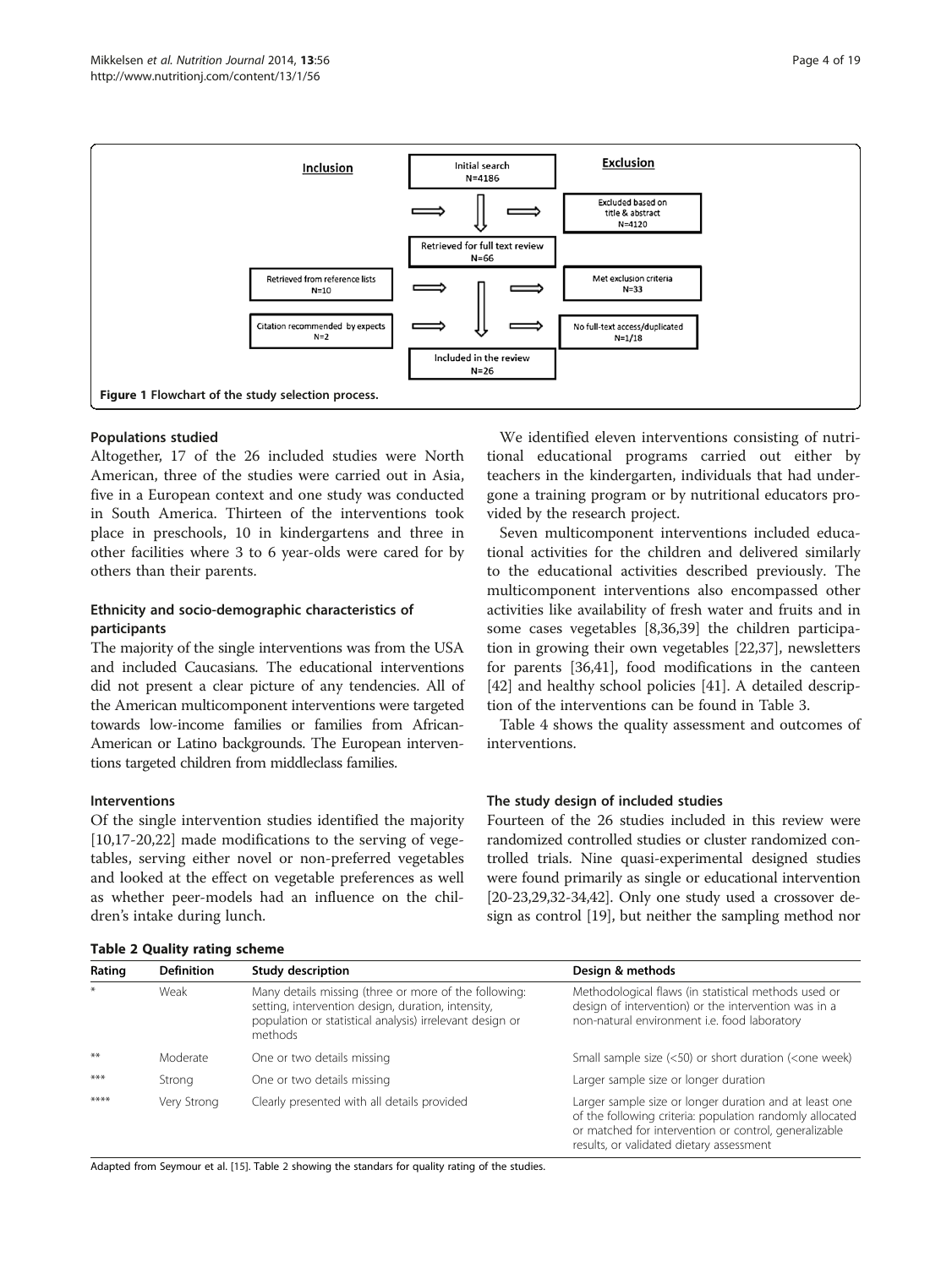<span id="page-3-0"></span>

# Populations studied

Altogether, 17 of the 26 included studies were North American, three of the studies were carried out in Asia, five in a European context and one study was conducted in South America. Thirteen of the interventions took place in preschools, 10 in kindergartens and three in other facilities where 3 to 6 year-olds were cared for by others than their parents.

# Ethnicity and socio-demographic characteristics of participants

The majority of the single interventions was from the USA and included Caucasians. The educational interventions did not present a clear picture of any tendencies. All of the American multicomponent interventions were targeted towards low-income families or families from African-American or Latino backgrounds. The European interventions targeted children from middleclass families.

# Interventions

Of the single intervention studies identified the majority [[10,17-20,22\]](#page-18-0) made modifications to the serving of vegetables, serving either novel or non-preferred vegetables and looked at the effect on vegetable preferences as well as whether peer-models had an influence on the children's intake during lunch.

| We identified eleven interventions consisting of nutri-   |  |  |  |
|-----------------------------------------------------------|--|--|--|
| tional educational programs carried out either by         |  |  |  |
| teachers in the kindergarten, individuals that had under- |  |  |  |
| gone a training program or by nutritional educators pro-  |  |  |  |
| vided by the research project.                            |  |  |  |
| Seven multicomponent interventions included educa-        |  |  |  |

Seven multicomponent interventions included educational activities for the children and delivered similarly to the educational activities described previously. The multicomponent interventions also encompassed other activities like availability of fresh water and fruits and in some cases vegetables [\[8](#page-17-0)[,36,39](#page-18-0)] the children participation in growing their own vegetables [[22](#page-18-0),[37](#page-18-0)], newsletters for parents [[36,41\]](#page-18-0), food modifications in the canteen [[42\]](#page-18-0) and healthy school policies [[41\]](#page-18-0). A detailed description of the interventions can be found in Table [3.](#page-4-0)

Table [4](#page-9-0) shows the quality assessment and outcomes of interventions.

# The study design of included studies

Fourteen of the 26 studies included in this review were randomized controlled studies or cluster randomized controlled trials. Nine quasi-experimental designed studies were found primarily as single or educational intervention [[20](#page-18-0)-[23,29,32-34,42\]](#page-18-0). Only one study used a crossover design as control [\[19\]](#page-18-0), but neither the sampling method nor

| Rating | <b>Definition</b> | Study description                                                                                                                                                                  | Design & methods                                                                                                                                                                                                        |
|--------|-------------------|------------------------------------------------------------------------------------------------------------------------------------------------------------------------------------|-------------------------------------------------------------------------------------------------------------------------------------------------------------------------------------------------------------------------|
| $*$    | Weak              | Many details missing (three or more of the following:<br>setting, intervention design, duration, intensity,<br>population or statistical analysis) irrelevant design or<br>methods | Methodological flaws (in statistical methods used or<br>design of intervention) or the intervention was in a<br>non-natural environment i.e. food laboratory                                                            |
| $**$   | Moderate          | One or two details missing                                                                                                                                                         | Small sample size (<50) or short duration ( <one td="" week)<=""></one>                                                                                                                                                 |
| $***$  | Strong            | One or two details missing                                                                                                                                                         | Larger sample size or longer duration                                                                                                                                                                                   |
| $****$ | Very Strong       | Clearly presented with all details provided                                                                                                                                        | Larger sample size or longer duration and at least one<br>of the following criteria: population randomly allocated<br>or matched for intervention or control, generalizable<br>results, or validated dietary assessment |

# Table 2 Quality rating scheme

Adapted from Seymour et al. [\[15\]](#page-18-0). Table 2 showing the standars for quality rating of the studies.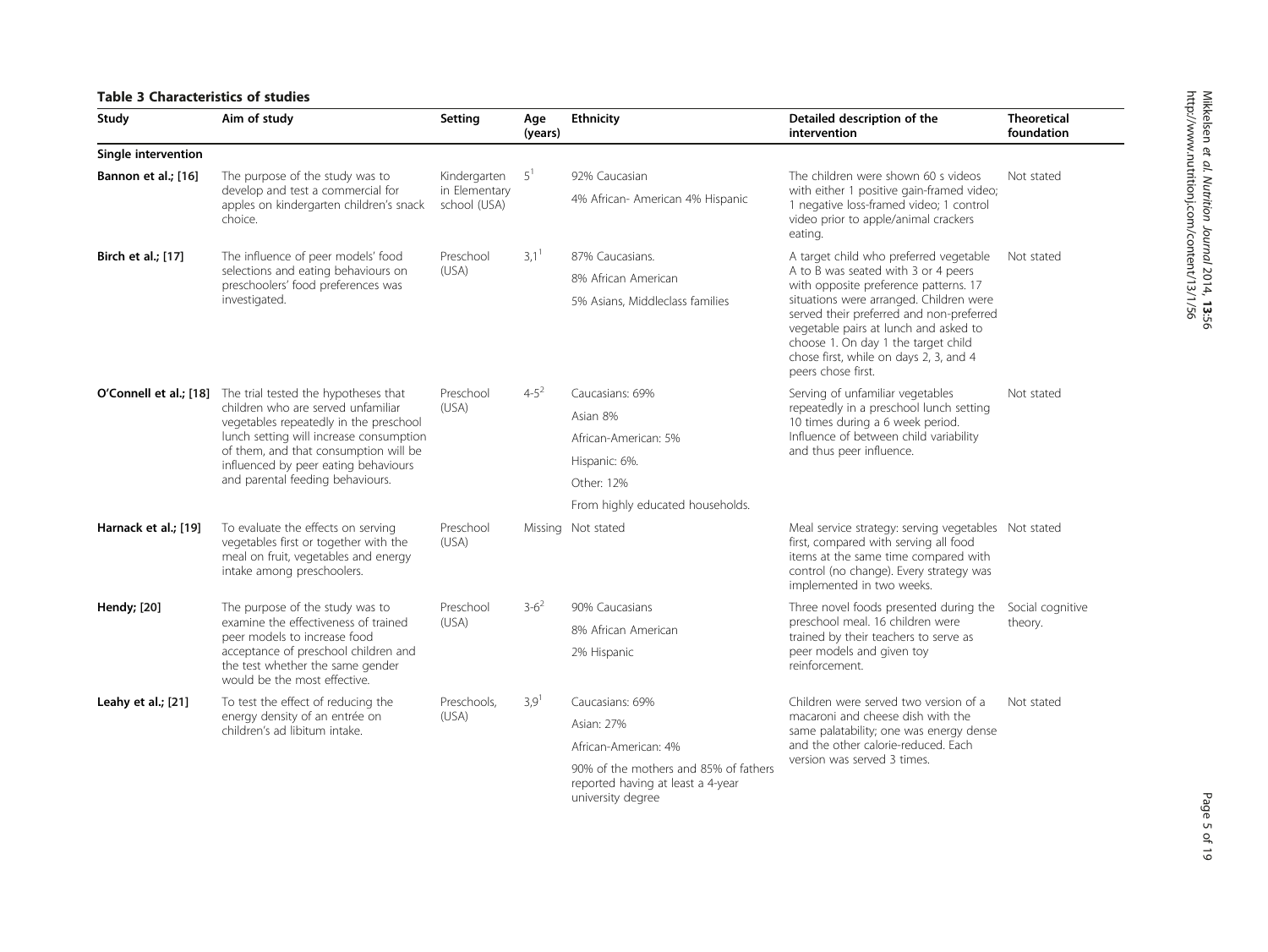<span id="page-4-0"></span>Table 3 Characteristics of studies

| Study                | Aim of study                                                                                                                                      | Setting                                                                                                                                                                                                                                                                                                                                     | Age<br>(years)   | <b>Ethnicity</b>                                                                                | Detailed description of the<br>intervention                                                                                                                                                                                         | <b>Theoretical</b><br>foundation |
|----------------------|---------------------------------------------------------------------------------------------------------------------------------------------------|---------------------------------------------------------------------------------------------------------------------------------------------------------------------------------------------------------------------------------------------------------------------------------------------------------------------------------------------|------------------|-------------------------------------------------------------------------------------------------|-------------------------------------------------------------------------------------------------------------------------------------------------------------------------------------------------------------------------------------|----------------------------------|
| Single intervention  |                                                                                                                                                   |                                                                                                                                                                                                                                                                                                                                             |                  |                                                                                                 |                                                                                                                                                                                                                                     |                                  |
| Bannon et al.; [16]  | The purpose of the study was to                                                                                                                   | Kindergarten                                                                                                                                                                                                                                                                                                                                | $5^1$            | 92% Caucasian                                                                                   | The children were shown 60 s videos                                                                                                                                                                                                 | Not stated                       |
|                      | develop and test a commercial for<br>apples on kindergarten children's snack<br>choice.                                                           | in Elementary<br>school (USA)                                                                                                                                                                                                                                                                                                               |                  | 4% African- American 4% Hispanic                                                                | with either 1 positive gain-framed video;<br>1 negative loss-framed video; 1 control<br>video prior to apple/animal crackers<br>eating.                                                                                             |                                  |
| Birch et al.; [17]   | The influence of peer models' food                                                                                                                | Preschool                                                                                                                                                                                                                                                                                                                                   | $3,1^1$          | 87% Caucasians.                                                                                 | A target child who preferred vegetable                                                                                                                                                                                              | Not stated                       |
|                      | selections and eating behaviours on<br>preschoolers' food preferences was                                                                         | (USA)                                                                                                                                                                                                                                                                                                                                       |                  | 8% African American                                                                             | A to B was seated with 3 or 4 peers<br>with opposite preference patterns. 17                                                                                                                                                        |                                  |
|                      | investigated.                                                                                                                                     |                                                                                                                                                                                                                                                                                                                                             |                  | 5% Asians, Middleclass families                                                                 | situations were arranged. Children were<br>served their preferred and non-preferred<br>vegetable pairs at lunch and asked to<br>choose 1. On day 1 the target child<br>chose first, while on days 2, 3, and 4<br>peers chose first. |                                  |
|                      | O'Connell et al.; [18] The trial tested the hypotheses that                                                                                       | $4 - 5^2$<br>Caucasians: 69%<br>Preschool<br>children who are served unfamiliar<br>repeatedly in a preschool lunch setting<br>(USA)<br>Asian 8%<br>vegetables repeatedly in the preschool<br>10 times during a 6 week period.<br>African-American: 5%<br>of them, and that consumption will be<br>and thus peer influence.<br>Hispanic: 6%. |                  |                                                                                                 | Serving of unfamiliar vegetables                                                                                                                                                                                                    | Not stated                       |
|                      |                                                                                                                                                   |                                                                                                                                                                                                                                                                                                                                             |                  |                                                                                                 |                                                                                                                                                                                                                                     |                                  |
|                      | lunch setting will increase consumption                                                                                                           |                                                                                                                                                                                                                                                                                                                                             |                  | Influence of between child variability                                                          |                                                                                                                                                                                                                                     |                                  |
|                      | influenced by peer eating behaviours                                                                                                              |                                                                                                                                                                                                                                                                                                                                             |                  |                                                                                                 |                                                                                                                                                                                                                                     |                                  |
|                      | and parental feeding behaviours.                                                                                                                  |                                                                                                                                                                                                                                                                                                                                             |                  | Other: 12%                                                                                      |                                                                                                                                                                                                                                     |                                  |
|                      |                                                                                                                                                   |                                                                                                                                                                                                                                                                                                                                             |                  | From highly educated households.                                                                |                                                                                                                                                                                                                                     |                                  |
| Harnack et al.; [19] | To evaluate the effects on serving<br>vegetables first or together with the<br>meal on fruit, vegetables and energy<br>intake among preschoolers. | Preschool<br>(USA)                                                                                                                                                                                                                                                                                                                          |                  | Missing Not stated                                                                              | Meal service strategy: serving vegetables Not stated<br>first, compared with serving all food<br>items at the same time compared with<br>control (no change). Every strategy was<br>implemented in two weeks.                       |                                  |
| Hendy; [20]          | The purpose of the study was to                                                                                                                   | Preschool                                                                                                                                                                                                                                                                                                                                   | $3-6^2$          | 90% Caucasians                                                                                  | Three novel foods presented during the                                                                                                                                                                                              | Social cognitive                 |
|                      | examine the effectiveness of trained<br>peer models to increase food                                                                              | (USA)                                                                                                                                                                                                                                                                                                                                       |                  | 8% African American                                                                             | preschool meal. 16 children were<br>trained by their teachers to serve as                                                                                                                                                           | theory.                          |
|                      | acceptance of preschool children and<br>the test whether the same gender<br>would be the most effective.                                          |                                                                                                                                                                                                                                                                                                                                             |                  | 2% Hispanic                                                                                     | peer models and given toy<br>reinforcement.                                                                                                                                                                                         |                                  |
| Leahy et al.; [21]   | To test the effect of reducing the                                                                                                                | Preschools.                                                                                                                                                                                                                                                                                                                                 | 3.9 <sup>1</sup> | Caucasians: 69%                                                                                 | Children were served two version of a                                                                                                                                                                                               | Not stated                       |
|                      | energy density of an entrée on<br>children's ad libitum intake.                                                                                   | (USA)                                                                                                                                                                                                                                                                                                                                       |                  | Asian: 27%                                                                                      | macaroni and cheese dish with the<br>same palatability; one was energy dense                                                                                                                                                        |                                  |
|                      |                                                                                                                                                   |                                                                                                                                                                                                                                                                                                                                             |                  | African-American: 4%                                                                            | and the other calorie-reduced. Each                                                                                                                                                                                                 |                                  |
|                      |                                                                                                                                                   |                                                                                                                                                                                                                                                                                                                                             |                  | 90% of the mothers and 85% of fathers<br>reported having at least a 4-year<br>university degree | version was served 3 times.                                                                                                                                                                                                         |                                  |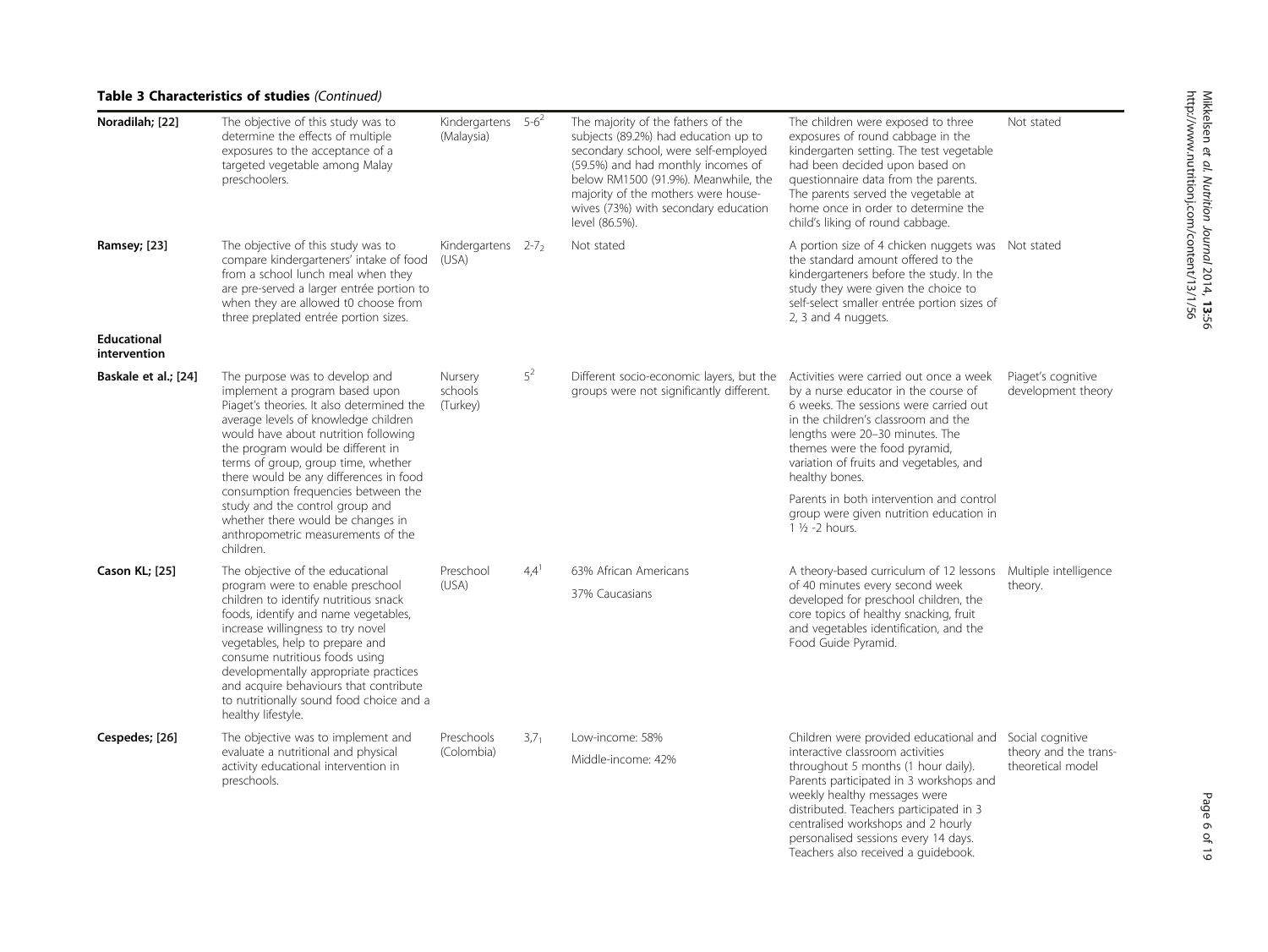| Noradilah; [22]             | The objective of this study was to<br>determine the effects of multiple<br>exposures to the acceptance of a<br>targeted vegetable among Malay<br>preschoolers.                                                                                                                                                                                                                                                       | Kindergartens 5-6 <sup>2</sup><br>(Malaysia) |                  | The majority of the fathers of the<br>subjects (89.2%) had education up to<br>secondary school, were self-employed<br>(59.5%) and had monthly incomes of<br>below RM1500 (91.9%). Meanwhile, the<br>majority of the mothers were house-<br>wives (73%) with secondary education<br>level (86.5%). | The children were exposed to three<br>exposures of round cabbage in the<br>kindergarten setting. The test vegetable<br>had been decided upon based on<br>questionnaire data from the parents.<br>The parents served the vegetable at<br>home once in order to determine the<br>child's liking of round cabbage.                                              | Not stated                                                     |
|-----------------------------|----------------------------------------------------------------------------------------------------------------------------------------------------------------------------------------------------------------------------------------------------------------------------------------------------------------------------------------------------------------------------------------------------------------------|----------------------------------------------|------------------|---------------------------------------------------------------------------------------------------------------------------------------------------------------------------------------------------------------------------------------------------------------------------------------------------|--------------------------------------------------------------------------------------------------------------------------------------------------------------------------------------------------------------------------------------------------------------------------------------------------------------------------------------------------------------|----------------------------------------------------------------|
| Ramsey; [23]                | The objective of this study was to<br>compare kindergarteners' intake of food<br>from a school lunch meal when they<br>are pre-served a larger entrée portion to<br>when they are allowed t0 choose from<br>three preplated entrée portion sizes.                                                                                                                                                                    | Kindergartens $2-72$<br>(USA)                |                  | Not stated                                                                                                                                                                                                                                                                                        | A portion size of 4 chicken nuggets was Not stated<br>the standard amount offered to the<br>kindergarteners before the study. In the<br>study they were given the choice to<br>self-select smaller entrée portion sizes of<br>2, 3 and 4 nuggets.                                                                                                            |                                                                |
| Educational<br>intervention |                                                                                                                                                                                                                                                                                                                                                                                                                      |                                              |                  |                                                                                                                                                                                                                                                                                                   |                                                                                                                                                                                                                                                                                                                                                              |                                                                |
| Baskale et al.; [24]        | The purpose was to develop and<br>implement a program based upon<br>Piaget's theories. It also determined the<br>average levels of knowledge children<br>would have about nutrition following<br>the program would be different in<br>terms of group, group time, whether<br>there would be any differences in food                                                                                                  | Nursery<br>schools<br>(Turkey)               | $5^2$            | Different socio-economic layers, but the<br>groups were not significantly different.                                                                                                                                                                                                              | Activities were carried out once a week<br>by a nurse educator in the course of<br>6 weeks. The sessions were carried out<br>in the children's classroom and the<br>lengths were 20-30 minutes. The<br>themes were the food pyramid,<br>variation of fruits and vegetables, and<br>healthy bones.                                                            | Piaget's cognitive<br>development theory                       |
|                             | consumption frequencies between the<br>study and the control group and<br>whether there would be changes in<br>anthropometric measurements of the<br>children.                                                                                                                                                                                                                                                       |                                              |                  |                                                                                                                                                                                                                                                                                                   | Parents in both intervention and control<br>group were given nutrition education in<br>$1\frac{1}{2}$ -2 hours.                                                                                                                                                                                                                                              |                                                                |
| <b>Cason KL; [25]</b>       | The objective of the educational<br>program were to enable preschool<br>children to identify nutritious snack<br>foods, identify and name vegetables,<br>increase willingness to try novel<br>vegetables, help to prepare and<br>consume nutritious foods using<br>developmentally appropriate practices<br>and acquire behaviours that contribute<br>to nutritionally sound food choice and a<br>healthy lifestyle. | Preschool<br>(USA)                           | $4,4^{\dagger}$  | 63% African Americans<br>37% Caucasians                                                                                                                                                                                                                                                           | A theory-based curriculum of 12 lessons<br>of 40 minutes every second week<br>developed for preschool children, the<br>core topics of healthy snacking, fruit<br>and vegetables identification, and the<br>Food Guide Pyramid.                                                                                                                               | Multiple intelligence<br>theory.                               |
| Cespedes; [26]              | The objective was to implement and<br>evaluate a nutritional and physical<br>activity educational intervention in<br>preschools.                                                                                                                                                                                                                                                                                     | Preschools<br>(Colombia)                     | 3,7 <sub>1</sub> | Low-income: 58%<br>Middle-income: 42%                                                                                                                                                                                                                                                             | Children were provided educational and<br>interactive classroom activities<br>throughout 5 months (1 hour daily).<br>Parents participated in 3 workshops and<br>weekly healthy messages were<br>distributed. Teachers participated in 3<br>centralised workshops and 2 hourly<br>personalised sessions every 14 days.<br>Teachers also received a quidebook. | Social cognitive<br>theory and the trans-<br>theoretical model |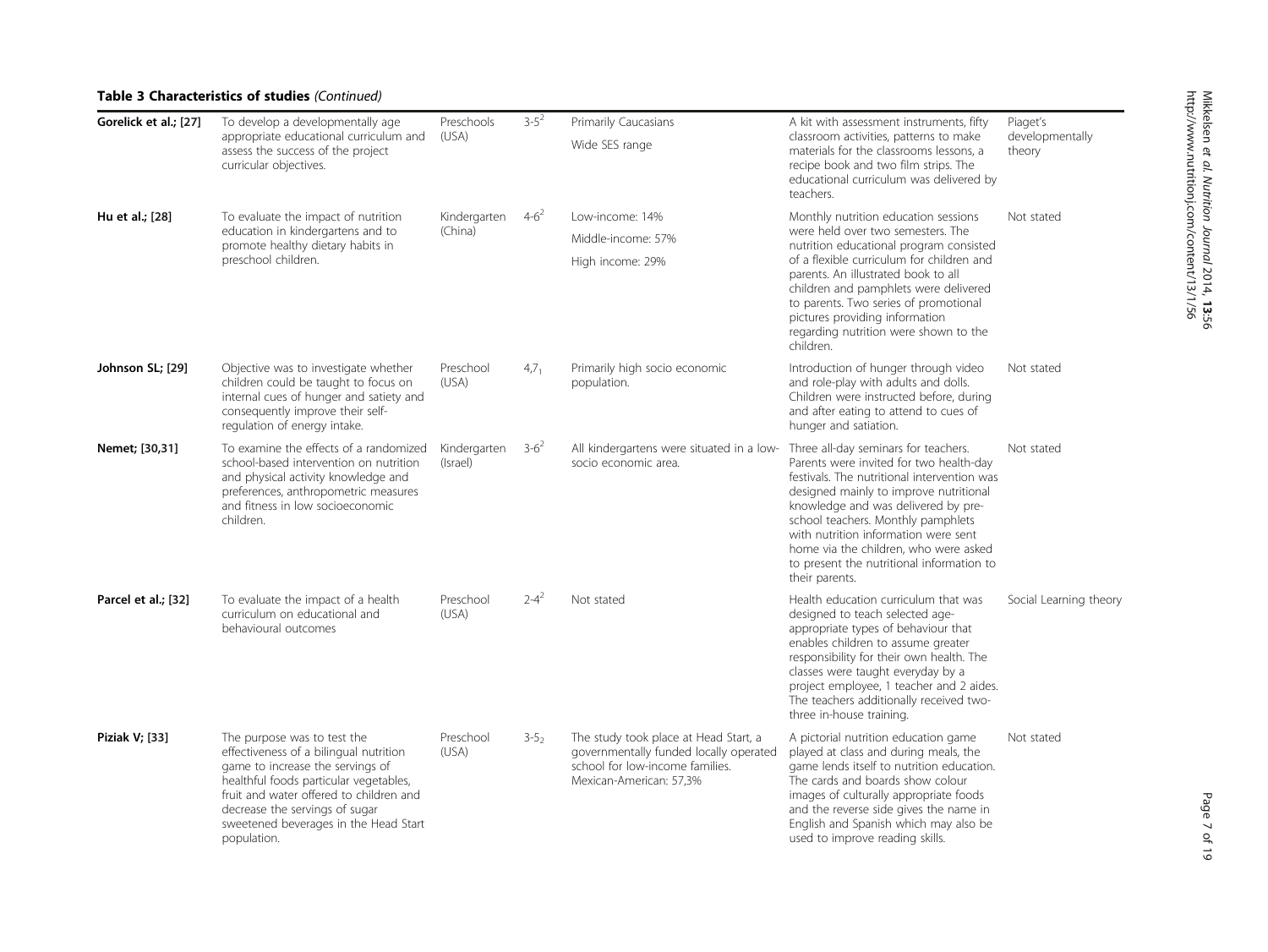| Gorelick et al.; [27] | To develop a developmentally age<br>appropriate educational curriculum and<br>assess the success of the project<br>curricular objectives.                                                                                                                                                | Preschools<br>(USA)      | $3 - 5^2$            | Primarily Caucasians<br>Wide SES range                                                                                                        | A kit with assessment instruments, fifty<br>classroom activities, patterns to make<br>materials for the classrooms lessons, a<br>recipe book and two film strips. The<br>educational curriculum was delivered by<br>teachers.                                                                                                                                                                         | Piaget's<br>developmentally<br>theory |
|-----------------------|------------------------------------------------------------------------------------------------------------------------------------------------------------------------------------------------------------------------------------------------------------------------------------------|--------------------------|----------------------|-----------------------------------------------------------------------------------------------------------------------------------------------|-------------------------------------------------------------------------------------------------------------------------------------------------------------------------------------------------------------------------------------------------------------------------------------------------------------------------------------------------------------------------------------------------------|---------------------------------------|
| Hu et al.; [28]       | To evaluate the impact of nutrition<br>education in kindergartens and to<br>promote healthy dietary habits in<br>preschool children.                                                                                                                                                     | Kindergarten<br>(China)  | $4 - 6^2$            | Low-income: 14%<br>Middle-income: 57%<br>High income: 29%                                                                                     | Monthly nutrition education sessions<br>were held over two semesters. The<br>nutrition educational program consisted<br>of a flexible curriculum for children and<br>parents. An illustrated book to all<br>children and pamphlets were delivered<br>to parents. Two series of promotional<br>pictures providing information<br>regarding nutrition were shown to the<br>children.                    | Not stated                            |
| Johnson SL; [29]      | Objective was to investigate whether<br>children could be taught to focus on<br>internal cues of hunger and satiety and<br>consequently improve their self-<br>regulation of energy intake.                                                                                              | Preschool<br>(USA)       | 4,7 <sub>1</sub>     | Primarily high socio economic<br>population.                                                                                                  | Introduction of hunger through video<br>and role-play with adults and dolls.<br>Children were instructed before, during<br>and after eating to attend to cues of<br>hunger and satiation.                                                                                                                                                                                                             | Not stated                            |
| Nemet; [30,31]        | To examine the effects of a randomized<br>school-based intervention on nutrition<br>and physical activity knowledge and<br>preferences, anthropometric measures<br>and fitness in low socioeconomic<br>children.                                                                         | Kindergarten<br>(Israel) | $3 - 6^2$            | All kindergartens were situated in a low-<br>socio economic area.                                                                             | Three all-day seminars for teachers.<br>Parents were invited for two health-day<br>festivals. The nutritional intervention was<br>designed mainly to improve nutritional<br>knowledge and was delivered by pre-<br>school teachers. Monthly pamphlets<br>with nutrition information were sent<br>home via the children, who were asked<br>to present the nutritional information to<br>their parents. | Not stated                            |
| Parcel et al.; [32]   | To evaluate the impact of a health<br>curriculum on educational and<br>behavioural outcomes                                                                                                                                                                                              | Preschool<br>(USA)       | $2 - 4^2$            | Not stated                                                                                                                                    | Health education curriculum that was<br>designed to teach selected age-<br>appropriate types of behaviour that<br>enables children to assume greater<br>responsibility for their own health. The<br>classes were taught everyday by a<br>project employee, 1 teacher and 2 aides.<br>The teachers additionally received two-<br>three in-house training.                                              | Social Learning theory                |
| Piziak V; [33]        | The purpose was to test the<br>effectiveness of a bilingual nutrition<br>game to increase the servings of<br>healthful foods particular vegetables,<br>fruit and water offered to children and<br>decrease the servings of sugar<br>sweetened beverages in the Head Start<br>population. | Preschool<br>(USA)       | $3 - 5$ <sub>2</sub> | The study took place at Head Start, a<br>governmentally funded locally operated<br>school for low-income families.<br>Mexican-American: 57,3% | A pictorial nutrition education game<br>played at class and during meals, the<br>game lends itself to nutrition education.<br>The cards and boards show colour<br>images of culturally appropriate foods<br>and the reverse side gives the name in<br>English and Spanish which may also be<br>used to improve reading skills.                                                                        | Not stated                            |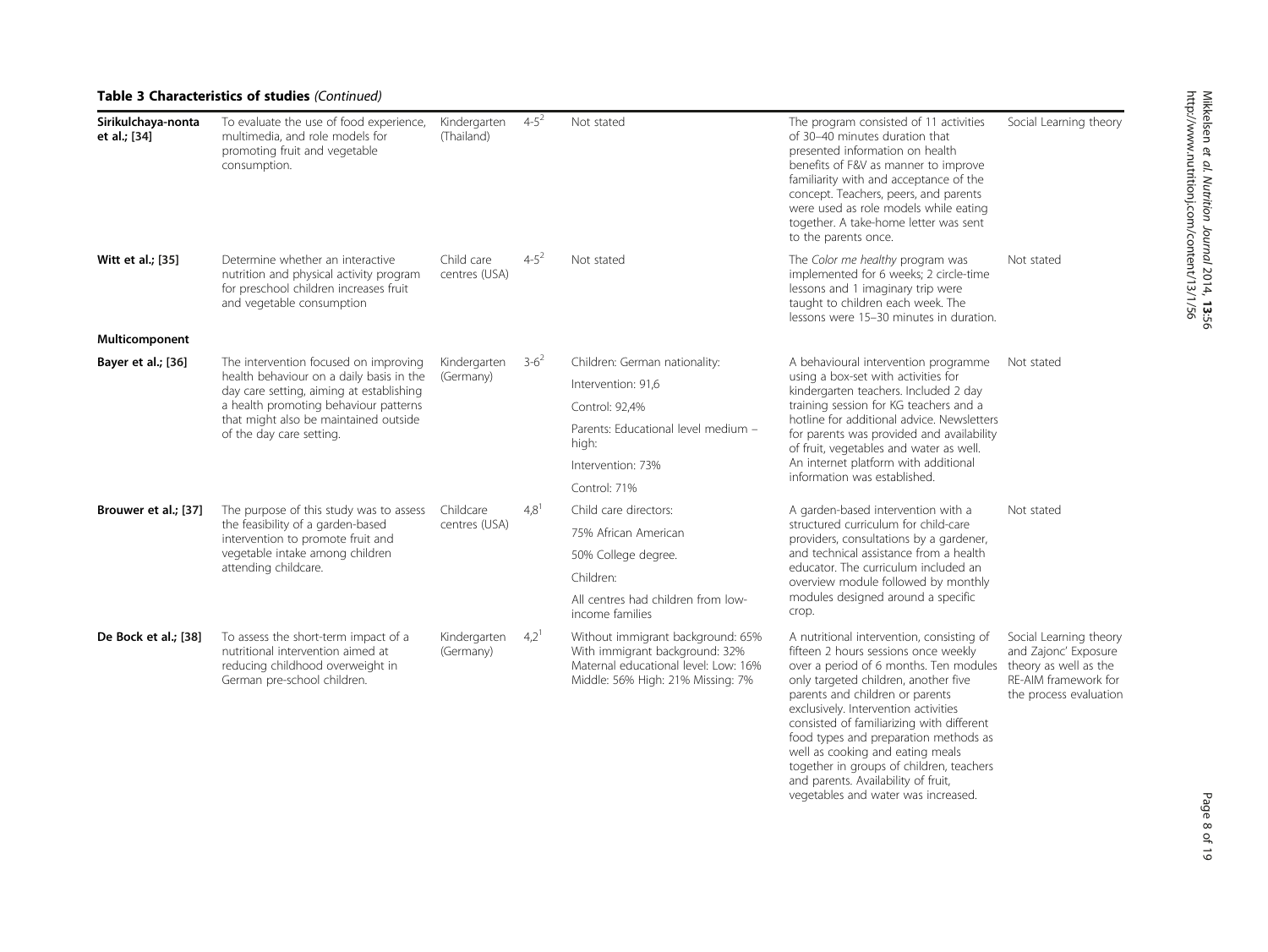| Sirikulchaya-nonta<br>et al.; [34] | To evaluate the use of food experience,<br>multimedia, and role models for<br>promoting fruit and vegetable<br>consumption.                        | Kindergarten<br>(Thailand)  | $4 - 5^2$        | Not stated                                                                                                                                       | The program consisted of 11 activities<br>of 30-40 minutes duration that<br>presented information on health<br>benefits of F&V as manner to improve<br>familiarity with and acceptance of the<br>concept. Teachers, peers, and parents<br>were used as role models while eating<br>together. A take-home letter was sent<br>to the parents once.                                                                                                            | Social Learning theory                                                                                                                  |  |
|------------------------------------|----------------------------------------------------------------------------------------------------------------------------------------------------|-----------------------------|------------------|--------------------------------------------------------------------------------------------------------------------------------------------------|-------------------------------------------------------------------------------------------------------------------------------------------------------------------------------------------------------------------------------------------------------------------------------------------------------------------------------------------------------------------------------------------------------------------------------------------------------------|-----------------------------------------------------------------------------------------------------------------------------------------|--|
| Witt et al.; [35]                  | Determine whether an interactive<br>nutrition and physical activity program<br>for preschool children increases fruit<br>and vegetable consumption | Child care<br>centres (USA) | $4 - 5^2$        | Not stated                                                                                                                                       | The Color me healthy program was<br>implemented for 6 weeks; 2 circle-time<br>lessons and 1 imaginary trip were<br>taught to children each week. The<br>lessons were 15-30 minutes in duration.                                                                                                                                                                                                                                                             | Not stated                                                                                                                              |  |
| Multicomponent                     |                                                                                                                                                    |                             |                  |                                                                                                                                                  |                                                                                                                                                                                                                                                                                                                                                                                                                                                             |                                                                                                                                         |  |
| Bayer et al.; [36]                 | The intervention focused on improving                                                                                                              |                             | $3 - 6^2$        | Children: German nationality:                                                                                                                    | A behavioural intervention programme                                                                                                                                                                                                                                                                                                                                                                                                                        | Not stated                                                                                                                              |  |
|                                    | health behaviour on a daily basis in the<br>day care setting, aiming at establishing                                                               | (Germany)                   |                  | Intervention: 91.6                                                                                                                               | using a box-set with activities for<br>kindergarten teachers. Included 2 day                                                                                                                                                                                                                                                                                                                                                                                |                                                                                                                                         |  |
|                                    | a health promoting behaviour patterns                                                                                                              |                             |                  | Control: 92,4%                                                                                                                                   | training session for KG teachers and a<br>hotline for additional advice. Newsletters                                                                                                                                                                                                                                                                                                                                                                        |                                                                                                                                         |  |
|                                    | that might also be maintained outside<br>of the day care setting.                                                                                  |                             |                  | Parents: Educational level medium -<br>high:                                                                                                     | for parents was provided and availability<br>of fruit, vegetables and water as well.                                                                                                                                                                                                                                                                                                                                                                        | Not stated<br>Social Learning theory<br>and Zajonc' Exposure<br>theory as well as the<br>RE-AIM framework for<br>the process evaluation |  |
|                                    |                                                                                                                                                    |                             |                  | Intervention: 73%                                                                                                                                | An internet platform with additional<br>information was established.                                                                                                                                                                                                                                                                                                                                                                                        |                                                                                                                                         |  |
|                                    |                                                                                                                                                    |                             |                  | Control: 71%                                                                                                                                     |                                                                                                                                                                                                                                                                                                                                                                                                                                                             |                                                                                                                                         |  |
| Brouwer et al.; [37]               | The purpose of this study was to assess                                                                                                            | Childcare                   | $4.8^1$          | Child care directors:                                                                                                                            | A garden-based intervention with a                                                                                                                                                                                                                                                                                                                                                                                                                          |                                                                                                                                         |  |
|                                    | the feasibility of a garden-based<br>intervention to promote fruit and                                                                             | centres (USA)               |                  | 75% African American                                                                                                                             | structured curriculum for child-care<br>providers, consultations by a gardener,                                                                                                                                                                                                                                                                                                                                                                             |                                                                                                                                         |  |
|                                    | vegetable intake among children                                                                                                                    |                             |                  | 50% College degree.                                                                                                                              | and technical assistance from a health                                                                                                                                                                                                                                                                                                                                                                                                                      |                                                                                                                                         |  |
|                                    | attending childcare.                                                                                                                               |                             |                  | Children:                                                                                                                                        | educator. The curriculum included an<br>overview module followed by monthly                                                                                                                                                                                                                                                                                                                                                                                 |                                                                                                                                         |  |
|                                    |                                                                                                                                                    |                             |                  | All centres had children from low-<br>income families                                                                                            | modules designed around a specific<br>crop.                                                                                                                                                                                                                                                                                                                                                                                                                 |                                                                                                                                         |  |
| De Bock et al.; [38]               | To assess the short-term impact of a<br>nutritional intervention aimed at<br>reducing childhood overweight in<br>German pre-school children.       | Kindergarten<br>(Germany)   | 4.2 <sup>1</sup> | Without immigrant background: 65%<br>With immigrant background: 32%<br>Maternal educational level: Low: 16%<br>Middle: 56% High: 21% Missing: 7% | A nutritional intervention, consisting of<br>fifteen 2 hours sessions once weekly<br>over a period of 6 months. Ten modules<br>only targeted children, another five<br>parents and children or parents<br>exclusively. Intervention activities<br>consisted of familiarizing with different<br>food types and preparation methods as<br>well as cooking and eating meals<br>together in groups of children, teachers<br>and parents. Availability of fruit, |                                                                                                                                         |  |

Page 8 of 19

vegetables and water was increased.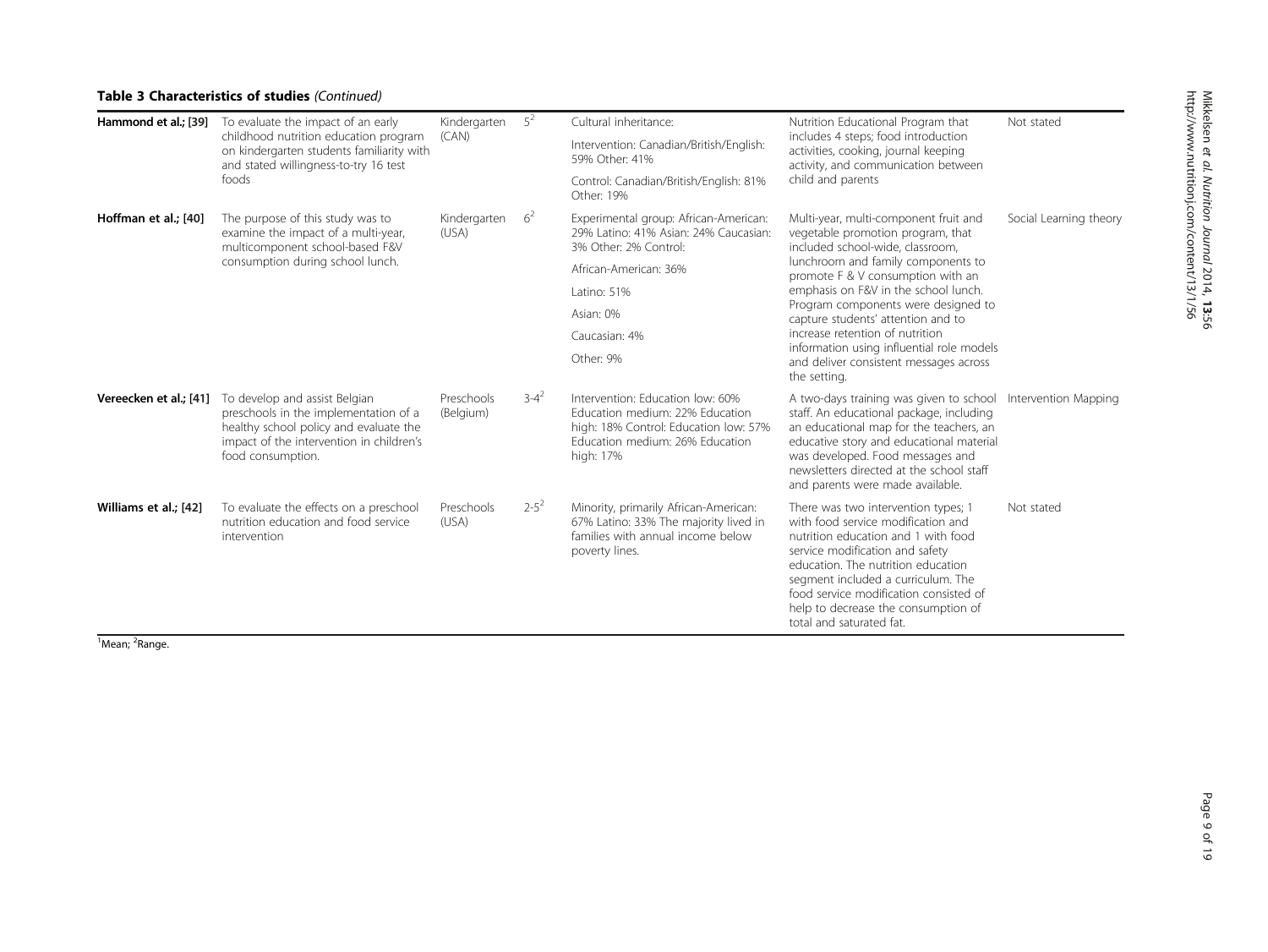| Hammond et al.; [39]   | To evaluate the impact of an early                                                                                                                                                | Kindergarten            | $5^2$          | Cultural inheritance:                                                                                                                                        | Nutrition Educational Program that                                                                                                                                                                                                                                                                                                           | Not stated             |  |  |
|------------------------|-----------------------------------------------------------------------------------------------------------------------------------------------------------------------------------|-------------------------|----------------|--------------------------------------------------------------------------------------------------------------------------------------------------------------|----------------------------------------------------------------------------------------------------------------------------------------------------------------------------------------------------------------------------------------------------------------------------------------------------------------------------------------------|------------------------|--|--|
|                        | childhood nutrition education program<br>on kindergarten students familiarity with<br>and stated willingness-to-try 16 test                                                       | (CAN)                   |                | Intervention: Canadian/British/English:<br>59% Other: 41%                                                                                                    | includes 4 steps; food introduction<br>activities, cooking, journal keeping<br>activity, and communication between                                                                                                                                                                                                                           |                        |  |  |
|                        | foods                                                                                                                                                                             |                         |                | Control: Canadian/British/English: 81%<br>Other: 19%                                                                                                         | child and parents                                                                                                                                                                                                                                                                                                                            |                        |  |  |
| Hoffman et al.; [40]   | The purpose of this study was to<br>examine the impact of a multi-year,<br>multicomponent school-based F&V                                                                        | Kindergarten<br>(USA)   | 6 <sup>2</sup> | Experimental group: African-American:<br>29% Latino: 41% Asian: 24% Caucasian:<br>3% Other: 2% Control:                                                      | Multi-year, multi-component fruit and<br>vegetable promotion program, that<br>included school-wide, classroom,                                                                                                                                                                                                                               | Social Learning theory |  |  |
|                        | consumption during school lunch.                                                                                                                                                  |                         |                | African-American: 36%                                                                                                                                        | lunchroom and family components to<br>promote F & V consumption with an                                                                                                                                                                                                                                                                      |                        |  |  |
|                        |                                                                                                                                                                                   |                         |                | Latino: 51%                                                                                                                                                  | emphasis on F&V in the school lunch.<br>Program components were designed to                                                                                                                                                                                                                                                                  |                        |  |  |
|                        |                                                                                                                                                                                   |                         |                | Asian: 0%                                                                                                                                                    | capture students' attention and to                                                                                                                                                                                                                                                                                                           |                        |  |  |
|                        |                                                                                                                                                                                   |                         |                | Caucasian: 4%                                                                                                                                                | increase retention of nutrition<br>information using influential role models                                                                                                                                                                                                                                                                 |                        |  |  |
|                        |                                                                                                                                                                                   |                         |                | Other: 9%                                                                                                                                                    | and deliver consistent messages across<br>the setting.                                                                                                                                                                                                                                                                                       |                        |  |  |
| Vereecken et al.; [41] | To develop and assist Belgian<br>preschools in the implementation of a<br>healthy school policy and evaluate the<br>impact of the intervention in children's<br>food consumption. | Preschools<br>(Belgium) | $3 - 4^2$      | Intervention: Education Iow: 60%<br>Education medium: 22% Education<br>high: 18% Control: Education low: 57%<br>Education medium: 26% Education<br>high: 17% | A two-days training was given to school Intervention Mapping<br>staff. An educational package, including<br>an educational map for the teachers, an<br>educative story and educational material<br>was developed. Food messages and<br>newsletters directed at the school staff<br>and parents were made available.                          |                        |  |  |
| Williams et al.; [42]  | To evaluate the effects on a preschool<br>nutrition education and food service<br>intervention                                                                                    | Preschools<br>(USA)     | $2 - 5^2$      | Minority, primarily African-American:<br>67% Latino: 33% The majority lived in<br>families with annual income below<br>poverty lines.                        | There was two intervention types; 1<br>with food service modification and<br>nutrition education and 1 with food<br>service modification and safety<br>education. The nutrition education<br>segment included a curriculum. The<br>food service modification consisted of<br>help to decrease the consumption of<br>total and saturated fat. | Not stated             |  |  |

<sup>1</sup>Mean; <sup>2</sup>Range.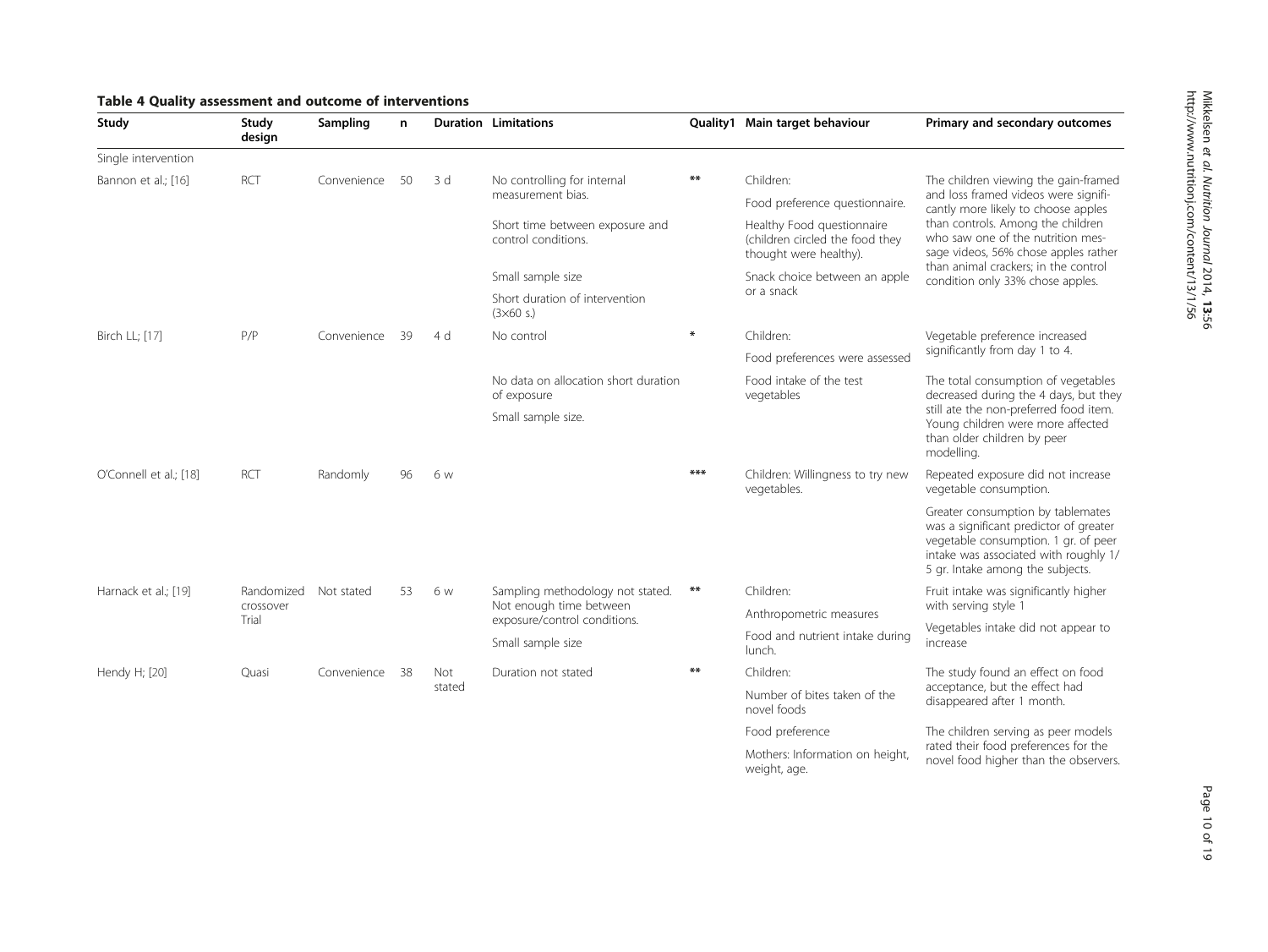<span id="page-9-0"></span>

| Study                  | Study<br>design                                                   | Sampling                | n.                                                                           |        | <b>Duration Limitations</b>                             |        | Quality1 Main target behaviour                                                          | Primary and secondary outcomes                                                                                                                                                                   |
|------------------------|-------------------------------------------------------------------|-------------------------|------------------------------------------------------------------------------|--------|---------------------------------------------------------|--------|-----------------------------------------------------------------------------------------|--------------------------------------------------------------------------------------------------------------------------------------------------------------------------------------------------|
| Single intervention    |                                                                   |                         |                                                                              |        |                                                         |        |                                                                                         |                                                                                                                                                                                                  |
| Bannon et al.; [16]    | <b>RCT</b>                                                        | Convenience             | 50                                                                           | 3 d    | No controlling for internal                             | $***$  | Children:                                                                               | The children viewing the gain-framed                                                                                                                                                             |
|                        |                                                                   |                         |                                                                              |        | measurement bias.                                       |        | Food preference questionnaire.                                                          | and loss framed videos were signifi-<br>cantly more likely to choose apples                                                                                                                      |
|                        |                                                                   |                         |                                                                              |        | Short time between exposure and<br>control conditions.  |        | Healthy Food questionnaire<br>(children circled the food they<br>thought were healthy). | than controls. Among the children<br>who saw one of the nutrition mes-<br>sage videos, 56% chose apples rather                                                                                   |
|                        |                                                                   |                         |                                                                              |        | Small sample size                                       |        | Snack choice between an apple                                                           | than animal crackers; in the control<br>condition only 33% chose apples.                                                                                                                         |
|                        | or a snack<br>Short duration of intervention<br>$(3\times60 s.)$  |                         |                                                                              |        |                                                         |        |                                                                                         |                                                                                                                                                                                                  |
| Birch LL; [17]         | P/P                                                               | Convenience             | 39                                                                           | 4 d    | No control                                              | $\ast$ | Children:                                                                               | Vegetable preference increased                                                                                                                                                                   |
|                        |                                                                   |                         |                                                                              |        |                                                         |        | Food preferences were assessed                                                          | significantly from day 1 to 4.                                                                                                                                                                   |
|                        | No data on allocation short duration<br>vegetables<br>of exposure | Food intake of the test | The total consumption of vegetables<br>decreased during the 4 days, but they |        |                                                         |        |                                                                                         |                                                                                                                                                                                                  |
|                        |                                                                   |                         |                                                                              |        | Small sample size.                                      |        |                                                                                         | still ate the non-preferred food item.<br>Young children were more affected<br>than older children by peer<br>modelling.                                                                         |
| O'Connell et al.; [18] | <b>RCT</b>                                                        | Randomly                | 96                                                                           | 6 w    |                                                         | $***$  | Children: Willingness to try new<br>vegetables.                                         | Repeated exposure did not increase<br>vegetable consumption.                                                                                                                                     |
|                        |                                                                   |                         |                                                                              |        |                                                         |        |                                                                                         | Greater consumption by tablemates<br>was a significant predictor of greater<br>vegetable consumption. 1 gr. of peer<br>intake was associated with roughly 1/<br>5 gr. Intake among the subjects. |
| Harnack et al.; [19]   | Randomized                                                        | Not stated              | 53                                                                           | 6 w    | Sampling methodology not stated.                        | $***$  | Children:                                                                               | Fruit intake was significantly higher                                                                                                                                                            |
|                        | crossover<br>Trial                                                |                         |                                                                              |        | Not enough time between<br>exposure/control conditions. |        | Anthropometric measures                                                                 | with serving style 1                                                                                                                                                                             |
|                        |                                                                   |                         |                                                                              |        | Small sample size                                       |        | Food and nutrient intake during<br>lunch.                                               | Vegetables intake did not appear to<br>increase                                                                                                                                                  |
| Hendy H; [20]          | Quasi                                                             | Convenience             | -38                                                                          | Not    | Duration not stated                                     | $**$   | Children:                                                                               | The study found an effect on food                                                                                                                                                                |
|                        |                                                                   |                         |                                                                              | stated |                                                         |        | Number of bites taken of the<br>novel foods                                             | acceptance, but the effect had<br>disappeared after 1 month.                                                                                                                                     |
|                        |                                                                   |                         |                                                                              |        |                                                         |        | Food preference                                                                         | The children serving as peer models                                                                                                                                                              |
|                        |                                                                   |                         |                                                                              |        |                                                         |        | Mothers: Information on height,<br>weight, age.                                         | rated their food preferences for the<br>novel food higher than the observers.                                                                                                                    |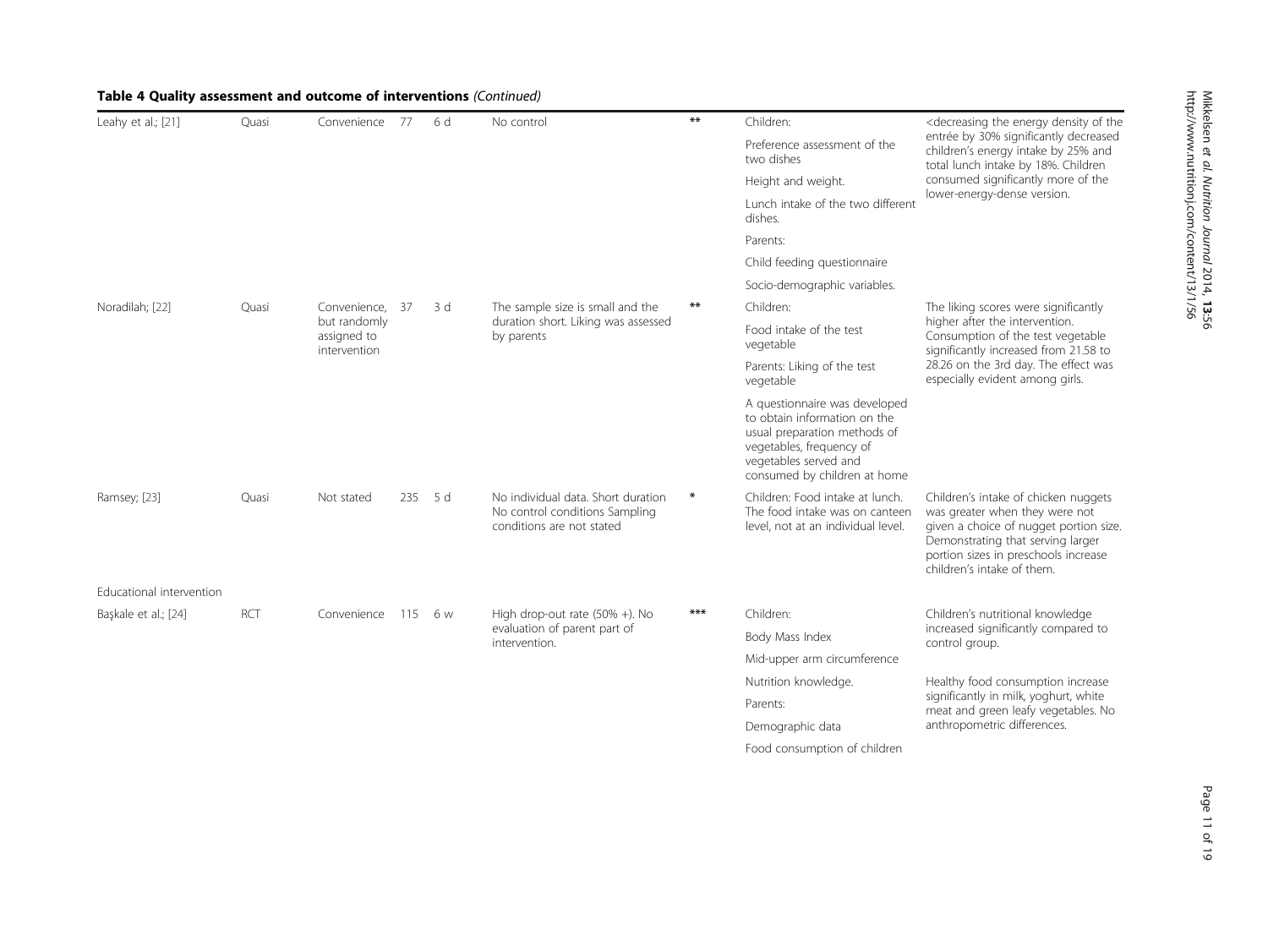| Leahy et al.; [21]       | Quasi      | Convenience 77                              |  | 6 d     | No control                                                                                        | $**$   | Children:                                                                                                                                                                          | <decreasing density="" energy="" of="" th="" the="" the<=""></decreasing>                                                                                                                                                   |
|--------------------------|------------|---------------------------------------------|--|---------|---------------------------------------------------------------------------------------------------|--------|------------------------------------------------------------------------------------------------------------------------------------------------------------------------------------|-----------------------------------------------------------------------------------------------------------------------------------------------------------------------------------------------------------------------------|
|                          |            |                                             |  |         |                                                                                                   |        | Preference assessment of the<br>two dishes                                                                                                                                         | entrée by 30% significantly decreased<br>children's energy intake by 25% and<br>total lunch intake by 18%. Children                                                                                                         |
|                          |            |                                             |  |         |                                                                                                   |        | Height and weight.                                                                                                                                                                 | consumed significantly more of the                                                                                                                                                                                          |
|                          |            |                                             |  |         |                                                                                                   |        | Lunch intake of the two different<br>dishes.                                                                                                                                       | lower-energy-dense version.                                                                                                                                                                                                 |
|                          |            |                                             |  |         |                                                                                                   |        | Parents:                                                                                                                                                                           |                                                                                                                                                                                                                             |
|                          |            |                                             |  |         |                                                                                                   |        | Child feeding questionnaire                                                                                                                                                        |                                                                                                                                                                                                                             |
|                          |            |                                             |  |         |                                                                                                   |        | Socio-demographic variables.                                                                                                                                                       |                                                                                                                                                                                                                             |
| Noradilah; [22]          | Quasi      | Convenience. 37                             |  | 3 d     | The sample size is small and the                                                                  | $***$  | Children:                                                                                                                                                                          | The liking scores were significantly                                                                                                                                                                                        |
|                          |            | but randomly<br>assigned to<br>intervention |  |         | duration short. Liking was assessed<br>by parents                                                 |        | Food intake of the test<br>vegetable                                                                                                                                               | higher after the intervention.<br>Consumption of the test vegetable<br>significantly increased from 21.58 to<br>28.26 on the 3rd day. The effect was<br>especially evident among girls.                                     |
|                          |            |                                             |  |         |                                                                                                   |        | Parents: Liking of the test<br>vegetable                                                                                                                                           |                                                                                                                                                                                                                             |
|                          |            |                                             |  |         |                                                                                                   |        | A questionnaire was developed<br>to obtain information on the<br>usual preparation methods of<br>vegetables, frequency of<br>vegetables served and<br>consumed by children at home |                                                                                                                                                                                                                             |
| Ramsey; [23]             | Quasi      | Not stated                                  |  | 235 5 d | No individual data. Short duration<br>No control conditions Sampling<br>conditions are not stated | $\ast$ | Children: Food intake at lunch.<br>The food intake was on canteen<br>level, not at an individual level.                                                                            | Children's intake of chicken nuggets<br>was greater when they were not<br>given a choice of nugget portion size.<br>Demonstrating that serving larger<br>portion sizes in preschools increase<br>children's intake of them. |
| Educational intervention |            |                                             |  |         |                                                                                                   |        |                                                                                                                                                                                    |                                                                                                                                                                                                                             |
| Başkale et al.; [24]     | <b>RCT</b> | Convenience 115 6 w                         |  |         | High drop-out rate (50% +). No                                                                    | $***$  | Children:                                                                                                                                                                          | Children's nutritional knowledge                                                                                                                                                                                            |
|                          |            |                                             |  |         | evaluation of parent part of<br>intervention.                                                     |        | Body Mass Index                                                                                                                                                                    | increased significantly compared to<br>control group.                                                                                                                                                                       |
|                          |            |                                             |  |         |                                                                                                   |        | Mid-upper arm circumference                                                                                                                                                        |                                                                                                                                                                                                                             |
|                          |            |                                             |  |         |                                                                                                   |        | Nutrition knowledge.                                                                                                                                                               | Healthy food consumption increase                                                                                                                                                                                           |
|                          |            |                                             |  |         |                                                                                                   |        | Parents:                                                                                                                                                                           | significantly in milk, yoghurt, white<br>meat and green leafy vegetables. No                                                                                                                                                |
|                          |            |                                             |  |         |                                                                                                   |        | Demographic data                                                                                                                                                                   | anthropometric differences.                                                                                                                                                                                                 |
|                          |            |                                             |  |         |                                                                                                   |        | Food consumption of children                                                                                                                                                       |                                                                                                                                                                                                                             |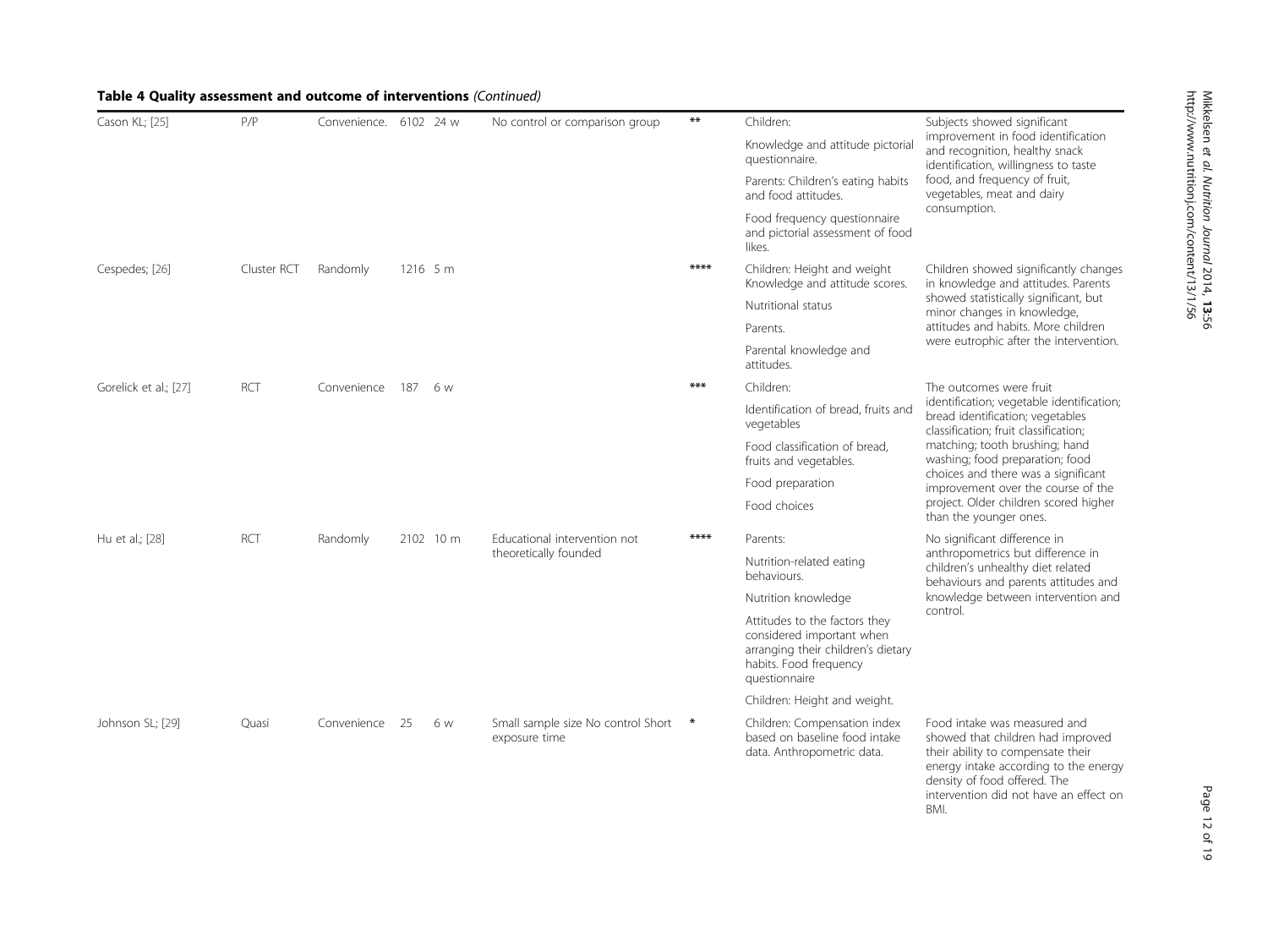| Cason KL; [25]        | P/P         | Convenience. 6102 24 w |           | No control or comparison group                        | $**$                                                             | Children:                                                                                                                                   | Subjects showed significant                                                                                                                                                                                                       |  |
|-----------------------|-------------|------------------------|-----------|-------------------------------------------------------|------------------------------------------------------------------|---------------------------------------------------------------------------------------------------------------------------------------------|-----------------------------------------------------------------------------------------------------------------------------------------------------------------------------------------------------------------------------------|--|
|                       |             |                        |           |                                                       |                                                                  | Knowledge and attitude pictorial<br>questionnaire.                                                                                          | improvement in food identification<br>and recognition, healthy snack<br>identification, willingness to taste                                                                                                                      |  |
|                       |             |                        |           |                                                       |                                                                  | Parents: Children's eating habits<br>and food attitudes.                                                                                    | food, and frequency of fruit,<br>vegetables, meat and dairy                                                                                                                                                                       |  |
|                       |             |                        | likes.    |                                                       | Food frequency questionnaire<br>and pictorial assessment of food | consumption.                                                                                                                                |                                                                                                                                                                                                                                   |  |
| Cespedes; [26]        | Cluster RCT | Randomly               | 1216 5 m  |                                                       | $****$                                                           | Children: Height and weight<br>Knowledge and attitude scores.                                                                               | Children showed significantly changes<br>in knowledge and attitudes. Parents                                                                                                                                                      |  |
|                       |             |                        |           |                                                       |                                                                  | Nutritional status                                                                                                                          | showed statistically significant, but<br>minor changes in knowledge,                                                                                                                                                              |  |
|                       |             |                        |           |                                                       |                                                                  | Parents.                                                                                                                                    | attitudes and habits. More children                                                                                                                                                                                               |  |
|                       |             |                        |           |                                                       |                                                                  | Parental knowledge and<br>attitudes.                                                                                                        | were eutrophic after the intervention.                                                                                                                                                                                            |  |
| Gorelick et al.; [27] | RCT         | Convenience 187        | 6 w       |                                                       | $***$                                                            | Children:                                                                                                                                   | The outcomes were fruit                                                                                                                                                                                                           |  |
|                       |             |                        |           |                                                       |                                                                  | Identification of bread, fruits and<br>vegetables                                                                                           | identification; vegetable identification;<br>bread identification; vegetables<br>classification; fruit classification;                                                                                                            |  |
|                       |             |                        |           |                                                       |                                                                  | Food classification of bread.<br>fruits and vegetables.                                                                                     | matching; tooth brushing; hand<br>washing; food preparation; food                                                                                                                                                                 |  |
|                       |             |                        |           |                                                       |                                                                  | Food preparation                                                                                                                            | choices and there was a significant<br>improvement over the course of the                                                                                                                                                         |  |
|                       |             |                        |           |                                                       |                                                                  | Food choices                                                                                                                                | project. Older children scored higher<br>than the younger ones.                                                                                                                                                                   |  |
| Hu et al.; [28]       | RCT         | Randomly               | 2102 10 m | Educational intervention not                          | ****                                                             | Parents:                                                                                                                                    | No significant difference in                                                                                                                                                                                                      |  |
|                       |             |                        |           | theoretically founded                                 |                                                                  | Nutrition-related eating<br>behaviours.                                                                                                     | anthropometrics but difference in<br>children's unhealthy diet related<br>behaviours and parents attitudes and                                                                                                                    |  |
|                       |             |                        |           |                                                       |                                                                  | Nutrition knowledge                                                                                                                         | knowledge between intervention and                                                                                                                                                                                                |  |
|                       |             |                        |           |                                                       |                                                                  | Attitudes to the factors they<br>considered important when<br>arranging their children's dietary<br>habits. Food frequency<br>questionnaire | control.                                                                                                                                                                                                                          |  |
|                       |             |                        |           |                                                       |                                                                  | Children: Height and weight.                                                                                                                |                                                                                                                                                                                                                                   |  |
| Johnson SL; [29]      | Ouasi       | Convenience 25         | 6 w       | Small sample size No control Short *<br>exposure time |                                                                  | Children: Compensation index<br>based on baseline food intake<br>data. Anthropometric data.                                                 | Food intake was measured and<br>showed that children had improved<br>their ability to compensate their<br>energy intake according to the energy<br>density of food offered. The<br>intervention did not have an effect on<br>BMI. |  |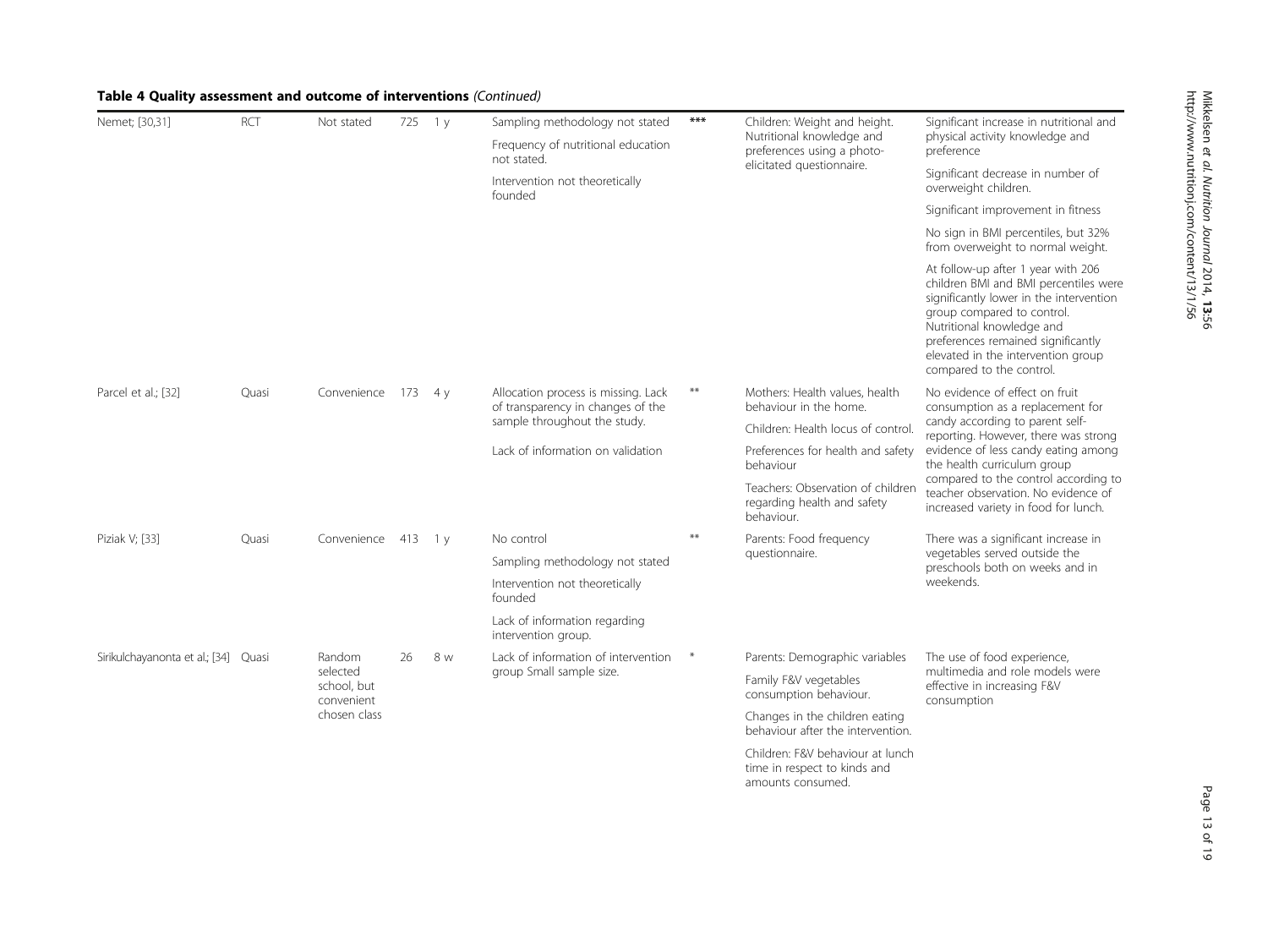| Nemet; [30,31]                       | <b>RCT</b> | Not stated                                                      | 725 | 1 <sub>y</sub> | Sampling methodology not stated                                                                          | $***$      | Children: Weight and height.<br>Nutritional knowledge and<br>preferences using a photo-<br>elicitated questionnaire. | Significant increase in nutritional and<br>physical activity knowledge and<br>preference                                                                                                                                                                                                                                                   |
|--------------------------------------|------------|-----------------------------------------------------------------|-----|----------------|----------------------------------------------------------------------------------------------------------|------------|----------------------------------------------------------------------------------------------------------------------|--------------------------------------------------------------------------------------------------------------------------------------------------------------------------------------------------------------------------------------------------------------------------------------------------------------------------------------------|
|                                      |            |                                                                 |     |                | Frequency of nutritional education<br>not stated.                                                        |            |                                                                                                                      |                                                                                                                                                                                                                                                                                                                                            |
|                                      |            |                                                                 |     |                | Intervention not theoretically<br>founded                                                                |            |                                                                                                                      | Significant decrease in number of<br>overweight children.                                                                                                                                                                                                                                                                                  |
|                                      |            |                                                                 |     |                |                                                                                                          |            |                                                                                                                      | Significant improvement in fitness                                                                                                                                                                                                                                                                                                         |
|                                      |            |                                                                 |     |                |                                                                                                          |            |                                                                                                                      | No sign in BMI percentiles, but 32%<br>from overweight to normal weight.                                                                                                                                                                                                                                                                   |
|                                      |            |                                                                 |     |                |                                                                                                          |            |                                                                                                                      | At follow-up after 1 year with 206<br>children BMI and BMI percentiles were<br>significantly lower in the intervention<br>group compared to control.<br>Nutritional knowledge and<br>preferences remained significantly<br>elevated in the intervention group<br>compared to the control.                                                  |
| Parcel et al.; [32]                  | Quasi      | Convenience                                                     | 173 | 4y             | Allocation process is missing. Lack<br>of transparency in changes of the<br>sample throughout the study. | $\ast\ast$ | Mothers: Health values, health<br>behaviour in the home.                                                             | No evidence of effect on fruit<br>consumption as a replacement for<br>candy according to parent self-<br>reporting. However, there was strong<br>evidence of less candy eating among<br>the health curriculum group<br>compared to the control according to<br>teacher observation. No evidence of<br>increased variety in food for lunch. |
|                                      |            |                                                                 |     |                |                                                                                                          |            | Children: Health locus of control                                                                                    |                                                                                                                                                                                                                                                                                                                                            |
|                                      |            |                                                                 |     |                | Lack of information on validation                                                                        |            | Preferences for health and safety<br>behaviour                                                                       |                                                                                                                                                                                                                                                                                                                                            |
|                                      |            |                                                                 |     |                |                                                                                                          |            | Teachers: Observation of children<br>regarding health and safety<br>behaviour.                                       |                                                                                                                                                                                                                                                                                                                                            |
| Piziak V; [33]                       | Quasi      | Convenience 413 1 y                                             |     |                | No control                                                                                               | $***$      | Parents: Food frequency<br>questionnaire.                                                                            | There was a significant increase in<br>vegetables served outside the<br>preschools both on weeks and in<br>weekends.                                                                                                                                                                                                                       |
|                                      |            |                                                                 |     |                | Sampling methodology not stated                                                                          |            |                                                                                                                      |                                                                                                                                                                                                                                                                                                                                            |
|                                      |            |                                                                 |     |                | Intervention not theoretically<br>founded                                                                |            |                                                                                                                      |                                                                                                                                                                                                                                                                                                                                            |
|                                      |            |                                                                 |     |                | Lack of information regarding<br>intervention group.                                                     |            |                                                                                                                      |                                                                                                                                                                                                                                                                                                                                            |
| Sirikulchayanonta et al.; [34] Quasi |            | Random<br>selected<br>school, but<br>convenient<br>chosen class | 26  | 8 w            | Lack of information of intervention<br>group Small sample size.                                          | $\ast$     | Parents: Demographic variables                                                                                       | The use of food experience,                                                                                                                                                                                                                                                                                                                |
|                                      |            |                                                                 |     |                |                                                                                                          |            | Family F&V vegetables<br>consumption behaviour.                                                                      | multimedia and role models were<br>effective in increasing F&V<br>consumption                                                                                                                                                                                                                                                              |
|                                      |            |                                                                 |     |                |                                                                                                          |            | Changes in the children eating<br>behaviour after the intervention.                                                  |                                                                                                                                                                                                                                                                                                                                            |
|                                      |            |                                                                 |     |                |                                                                                                          |            | Children: F&V behaviour at lunch<br>time in respect to kinds and<br>amounts consumed.                                |                                                                                                                                                                                                                                                                                                                                            |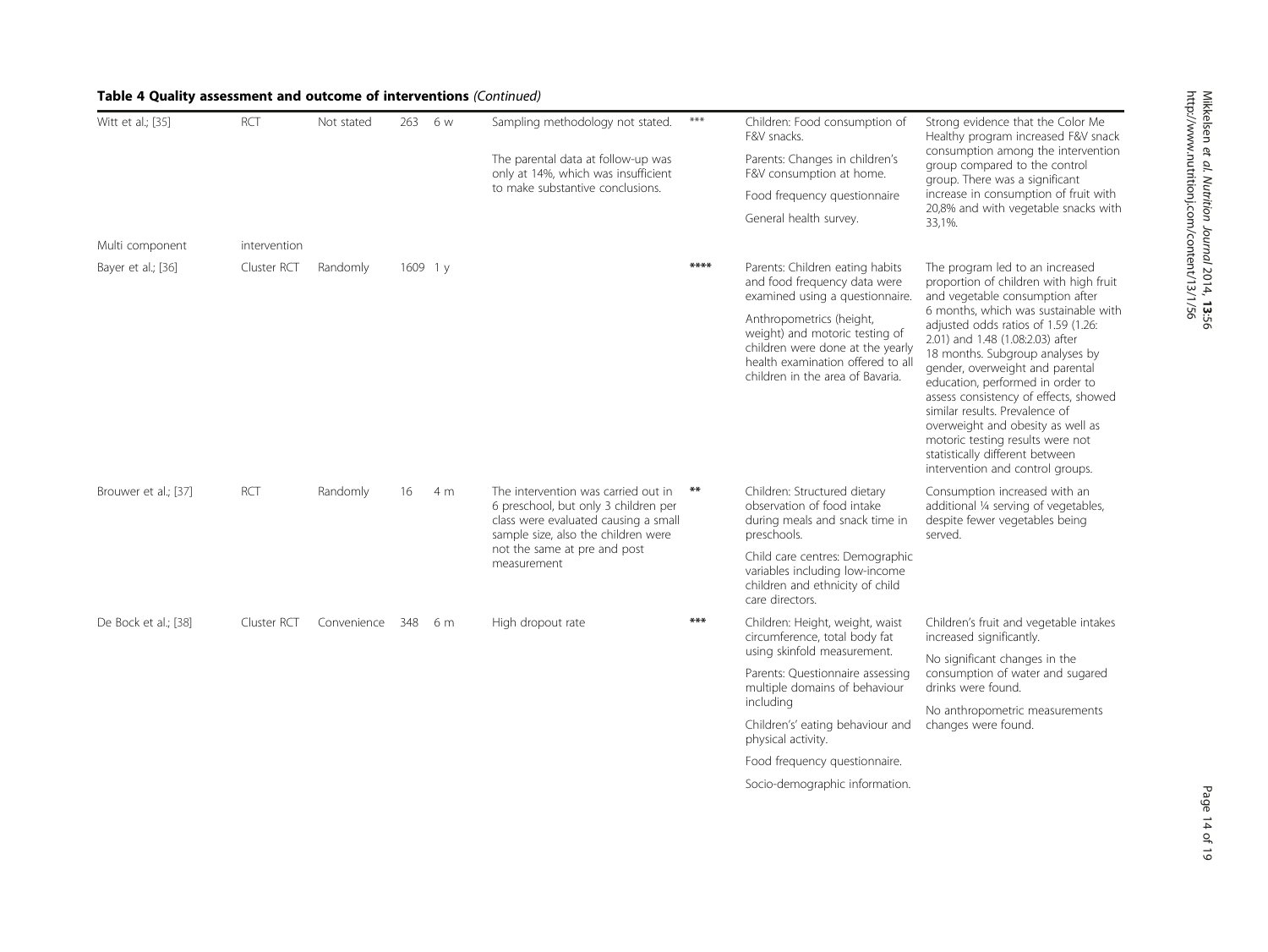| Witt et al.; [35]    | <b>RCT</b>   | Not stated      | 263       | 6 w | Sampling methodology not stated.                                                                                                                                                                          | $***$  | Children: Food consumption of<br>F&V snacks.                                                                                                                                      | Strong evidence that the Color Me<br>Healthy program increased F&V snack<br>consumption among the intervention<br>group compared to the control<br>group. There was a significant<br>increase in consumption of fruit with<br>20,8% and with vegetable snacks with<br>33,1%.                                                                                                                                                                                                                                                                                         |
|----------------------|--------------|-----------------|-----------|-----|-----------------------------------------------------------------------------------------------------------------------------------------------------------------------------------------------------------|--------|-----------------------------------------------------------------------------------------------------------------------------------------------------------------------------------|----------------------------------------------------------------------------------------------------------------------------------------------------------------------------------------------------------------------------------------------------------------------------------------------------------------------------------------------------------------------------------------------------------------------------------------------------------------------------------------------------------------------------------------------------------------------|
|                      |              |                 |           |     | The parental data at follow-up was<br>only at 14%, which was insufficient<br>to make substantive conclusions.                                                                                             |        | Parents: Changes in children's<br>F&V consumption at home.                                                                                                                        |                                                                                                                                                                                                                                                                                                                                                                                                                                                                                                                                                                      |
|                      |              |                 |           |     |                                                                                                                                                                                                           |        | Food frequency questionnaire                                                                                                                                                      |                                                                                                                                                                                                                                                                                                                                                                                                                                                                                                                                                                      |
|                      |              |                 |           |     |                                                                                                                                                                                                           |        | General health survey.                                                                                                                                                            |                                                                                                                                                                                                                                                                                                                                                                                                                                                                                                                                                                      |
| Multi component      | intervention |                 |           |     |                                                                                                                                                                                                           |        |                                                                                                                                                                                   |                                                                                                                                                                                                                                                                                                                                                                                                                                                                                                                                                                      |
| Bayer et al.; [36]   | Cluster RCT  | Randomly        | 1609 $1y$ |     |                                                                                                                                                                                                           | $****$ | Parents: Children eating habits<br>and food frequency data were<br>examined using a questionnaire.                                                                                | The program led to an increased<br>proportion of children with high fruit<br>and vegetable consumption after<br>6 months, which was sustainable with<br>adjusted odds ratios of 1.59 (1.26:<br>2.01) and 1.48 (1.08:2.03) after<br>18 months. Subgroup analyses by<br>gender, overweight and parental<br>education, performed in order to<br>assess consistency of effects, showed<br>similar results. Prevalence of<br>overweight and obesity as well as<br>motoric testing results were not<br>statistically different between<br>intervention and control groups. |
|                      |              |                 |           |     |                                                                                                                                                                                                           |        | Anthropometrics (height,<br>weight) and motoric testing of<br>children were done at the yearly<br>health examination offered to all<br>children in the area of Bavaria.           |                                                                                                                                                                                                                                                                                                                                                                                                                                                                                                                                                                      |
| Brouwer et al.; [37] | <b>RCT</b>   | Randomly        | 16        | 4 m | The intervention was carried out in<br>6 preschool, but only 3 children per<br>class were evaluated causing a small<br>sample size, also the children were<br>not the same at pre and post<br>measurement | $***$  | Children: Structured dietary<br>observation of food intake<br>during meals and snack time in<br>preschools.                                                                       | Consumption increased with an<br>additional 1/4 serving of vegetables,<br>despite fewer vegetables being<br>served.                                                                                                                                                                                                                                                                                                                                                                                                                                                  |
|                      |              |                 |           |     |                                                                                                                                                                                                           |        | Child care centres: Demographic<br>variables including low-income<br>children and ethnicity of child<br>care directors.                                                           |                                                                                                                                                                                                                                                                                                                                                                                                                                                                                                                                                                      |
| De Bock et al.; [38] | Cluster RCT  | Convenience 348 |           | 6 m | High dropout rate                                                                                                                                                                                         | $***$  | Children: Height, weight, waist<br>circumference, total body fat<br>using skinfold measurement.<br>Parents: Questionnaire assessing<br>multiple domains of behaviour<br>including | Children's fruit and vegetable intakes<br>increased significantly.                                                                                                                                                                                                                                                                                                                                                                                                                                                                                                   |
|                      |              |                 |           |     |                                                                                                                                                                                                           |        |                                                                                                                                                                                   | No significant changes in the                                                                                                                                                                                                                                                                                                                                                                                                                                                                                                                                        |
|                      |              |                 |           |     |                                                                                                                                                                                                           |        |                                                                                                                                                                                   | consumption of water and sugared<br>drinks were found.                                                                                                                                                                                                                                                                                                                                                                                                                                                                                                               |
|                      |              |                 |           |     |                                                                                                                                                                                                           |        |                                                                                                                                                                                   | No anthropometric measurements                                                                                                                                                                                                                                                                                                                                                                                                                                                                                                                                       |
|                      |              |                 |           |     |                                                                                                                                                                                                           |        | Children's' eating behaviour and<br>physical activity.                                                                                                                            | changes were found.                                                                                                                                                                                                                                                                                                                                                                                                                                                                                                                                                  |
|                      |              |                 |           |     |                                                                                                                                                                                                           |        | Food frequency questionnaire.                                                                                                                                                     |                                                                                                                                                                                                                                                                                                                                                                                                                                                                                                                                                                      |
|                      |              |                 |           |     |                                                                                                                                                                                                           |        | Socio-demographic information.                                                                                                                                                    |                                                                                                                                                                                                                                                                                                                                                                                                                                                                                                                                                                      |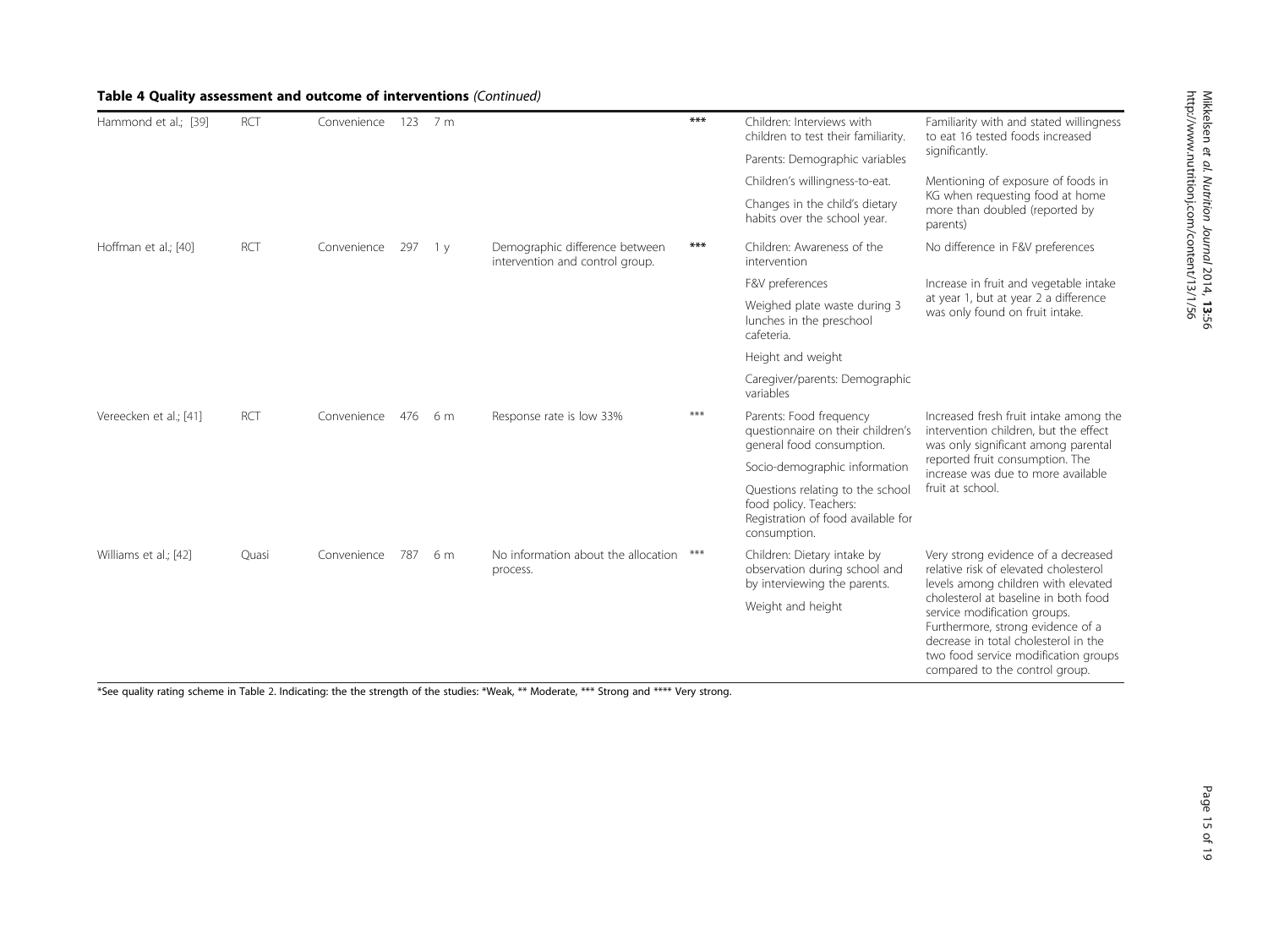| Hammond et al.; [39]   | <b>RCT</b> | Convenience | 123 | 7 m            |                                                                   | $***$ | Children: Interviews with<br>children to test their familiarity.                                                 | Familiarity with and stated willingness<br>to eat 16 tested foods increased<br>significantly.                                                                                                                                                                                                                                                      |
|------------------------|------------|-------------|-----|----------------|-------------------------------------------------------------------|-------|------------------------------------------------------------------------------------------------------------------|----------------------------------------------------------------------------------------------------------------------------------------------------------------------------------------------------------------------------------------------------------------------------------------------------------------------------------------------------|
|                        |            |             |     |                |                                                                   |       | Parents: Demographic variables                                                                                   |                                                                                                                                                                                                                                                                                                                                                    |
|                        |            |             |     |                |                                                                   |       | Children's willingness-to-eat.                                                                                   | Mentioning of exposure of foods in<br>KG when requesting food at home<br>more than doubled (reported by<br>parents)                                                                                                                                                                                                                                |
|                        |            |             |     |                |                                                                   |       | Changes in the child's dietary<br>habits over the school year.                                                   |                                                                                                                                                                                                                                                                                                                                                    |
| Hoffman et al.; [40]   | <b>RCT</b> | Convenience | 297 | 1 <sub>y</sub> | Demographic difference between<br>intervention and control group. | $***$ | Children: Awareness of the<br>intervention                                                                       | No difference in F&V preferences                                                                                                                                                                                                                                                                                                                   |
|                        |            |             |     |                |                                                                   |       | F&V preferences                                                                                                  | Increase in fruit and vegetable intake<br>at year 1, but at year 2 a difference<br>was only found on fruit intake.                                                                                                                                                                                                                                 |
|                        |            |             |     |                |                                                                   |       | Weighed plate waste during 3<br>lunches in the preschool<br>cafeteria.                                           |                                                                                                                                                                                                                                                                                                                                                    |
|                        |            |             |     |                |                                                                   |       | Height and weight                                                                                                |                                                                                                                                                                                                                                                                                                                                                    |
|                        |            |             |     |                |                                                                   |       | Caregiver/parents: Demographic<br>variables                                                                      |                                                                                                                                                                                                                                                                                                                                                    |
| Vereecken et al.: [41] | <b>RCT</b> | Convenience | 476 | 6 m            | Response rate is low 33%                                          | ***   | Parents: Food frequency<br>questionnaire on their children's<br>general food consumption.                        | Increased fresh fruit intake among the<br>intervention children, but the effect<br>was only significant among parental<br>reported fruit consumption. The<br>increase was due to more available<br>fruit at school.                                                                                                                                |
|                        |            |             |     |                |                                                                   |       | Socio-demographic information                                                                                    |                                                                                                                                                                                                                                                                                                                                                    |
|                        |            |             |     |                |                                                                   |       | Questions relating to the school<br>food policy. Teachers:<br>Registration of food available for<br>consumption. |                                                                                                                                                                                                                                                                                                                                                    |
| Williams et al.; [42]  | Ouasi      | Convenience | 787 | 6 m            | No information about the allocation<br>process.                   | $***$ | Children: Dietary intake by<br>observation during school and<br>by interviewing the parents.                     | Very strong evidence of a decreased<br>relative risk of elevated cholesterol<br>levels among children with elevated<br>cholesterol at baseline in both food<br>service modification groups.<br>Furthermore, strong evidence of a<br>decrease in total cholesterol in the<br>two food service modification groups<br>compared to the control group. |
|                        |            |             |     |                |                                                                   |       | Weight and height                                                                                                |                                                                                                                                                                                                                                                                                                                                                    |

\*See quality rating scheme in Table [2](#page-3-0). Indicating: the the strength of the studies: \*Weak, \*\* Moderate, \*\*\* Strong and \*\*\*\* Very strong.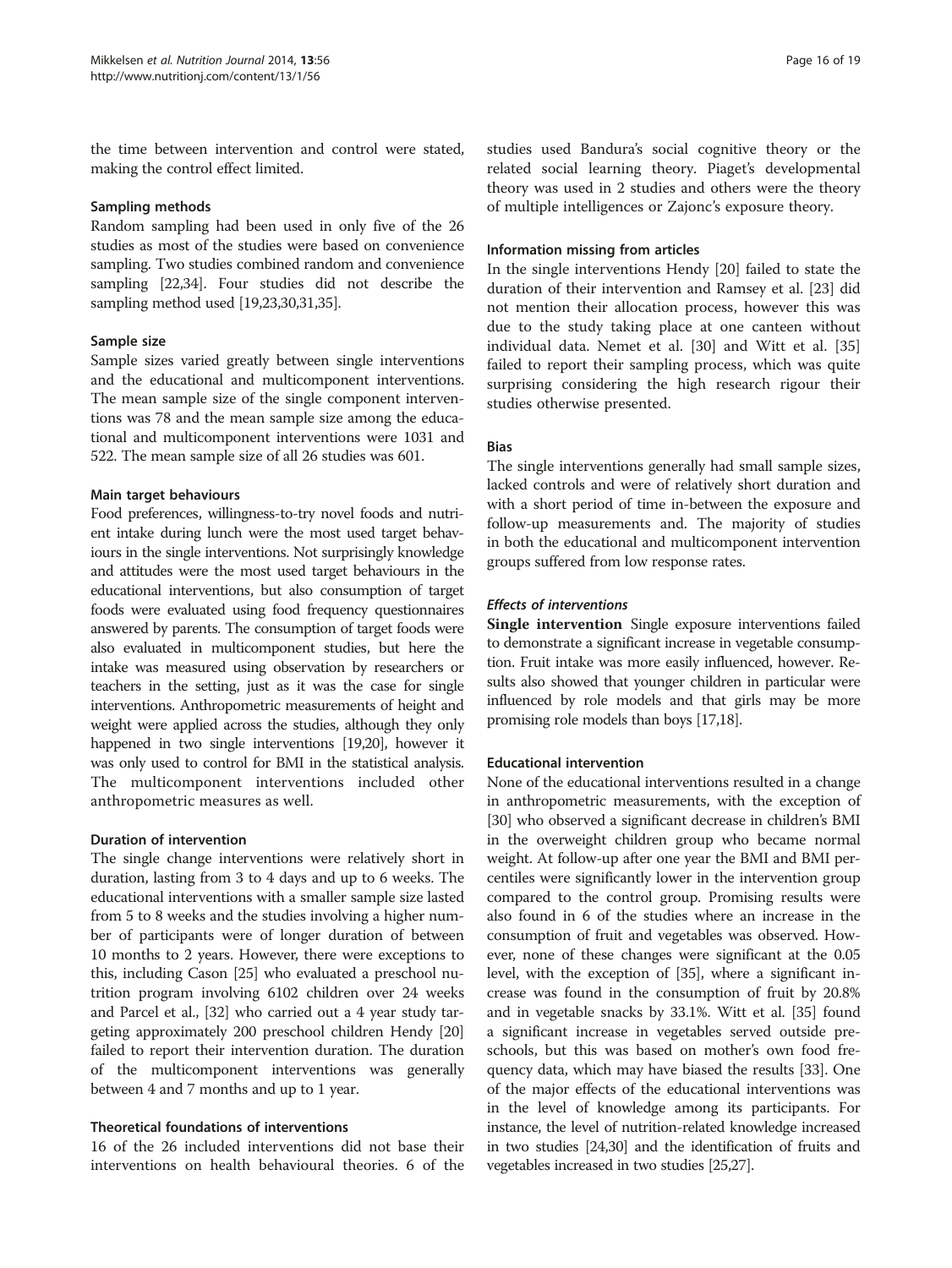the time between intervention and control were stated, making the control effect limited.

## Sampling methods

Random sampling had been used in only five of the 26 studies as most of the studies were based on convenience sampling. Two studies combined random and convenience sampling [\[22,34](#page-18-0)]. Four studies did not describe the sampling method used [\[19,23,30,31,35](#page-18-0)].

## Sample size

Sample sizes varied greatly between single interventions and the educational and multicomponent interventions. The mean sample size of the single component interventions was 78 and the mean sample size among the educational and multicomponent interventions were 1031 and 522. The mean sample size of all 26 studies was 601.

# Main target behaviours

Food preferences, willingness-to-try novel foods and nutrient intake during lunch were the most used target behaviours in the single interventions. Not surprisingly knowledge and attitudes were the most used target behaviours in the educational interventions, but also consumption of target foods were evaluated using food frequency questionnaires answered by parents. The consumption of target foods were also evaluated in multicomponent studies, but here the intake was measured using observation by researchers or teachers in the setting, just as it was the case for single interventions. Anthropometric measurements of height and weight were applied across the studies, although they only happened in two single interventions [\[19,20\]](#page-18-0), however it was only used to control for BMI in the statistical analysis. The multicomponent interventions included other anthropometric measures as well.

## Duration of intervention

The single change interventions were relatively short in duration, lasting from 3 to 4 days and up to 6 weeks. The educational interventions with a smaller sample size lasted from 5 to 8 weeks and the studies involving a higher number of participants were of longer duration of between 10 months to 2 years. However, there were exceptions to this, including Cason [\[25\]](#page-18-0) who evaluated a preschool nutrition program involving 6102 children over 24 weeks and Parcel et al., [[32\]](#page-18-0) who carried out a 4 year study targeting approximately 200 preschool children Hendy [[20](#page-18-0)] failed to report their intervention duration. The duration of the multicomponent interventions was generally between 4 and 7 months and up to 1 year.

## Theoretical foundations of interventions

16 of the 26 included interventions did not base their interventions on health behavioural theories. 6 of the studies used Bandura's social cognitive theory or the related social learning theory. Piaget's developmental theory was used in 2 studies and others were the theory of multiple intelligences or Zajonc's exposure theory.

# Information missing from articles

In the single interventions Hendy [\[20](#page-18-0)] failed to state the duration of their intervention and Ramsey et al. [\[23](#page-18-0)] did not mention their allocation process, however this was due to the study taking place at one canteen without individual data. Nemet et al. [\[30](#page-18-0)] and Witt et al. [[35](#page-18-0)] failed to report their sampling process, which was quite surprising considering the high research rigour their studies otherwise presented.

#### Bias

The single interventions generally had small sample sizes, lacked controls and were of relatively short duration and with a short period of time in-between the exposure and follow-up measurements and. The majority of studies in both the educational and multicomponent intervention groups suffered from low response rates.

#### Effects of interventions

Single intervention Single exposure interventions failed to demonstrate a significant increase in vegetable consumption. Fruit intake was more easily influenced, however. Results also showed that younger children in particular were influenced by role models and that girls may be more promising role models than boys [[17,18\]](#page-18-0).

# Educational intervention

None of the educational interventions resulted in a change in anthropometric measurements, with the exception of [[30](#page-18-0)] who observed a significant decrease in children's BMI in the overweight children group who became normal weight. At follow-up after one year the BMI and BMI percentiles were significantly lower in the intervention group compared to the control group. Promising results were also found in 6 of the studies where an increase in the consumption of fruit and vegetables was observed. However, none of these changes were significant at the 0.05 level, with the exception of [[35](#page-18-0)], where a significant increase was found in the consumption of fruit by 20.8% and in vegetable snacks by 33.1%. Witt et al. [\[35](#page-18-0)] found a significant increase in vegetables served outside preschools, but this was based on mother's own food frequency data, which may have biased the results [\[33\]](#page-18-0). One of the major effects of the educational interventions was in the level of knowledge among its participants. For instance, the level of nutrition-related knowledge increased in two studies [\[24,30](#page-18-0)] and the identification of fruits and vegetables increased in two studies [\[25,27\]](#page-18-0).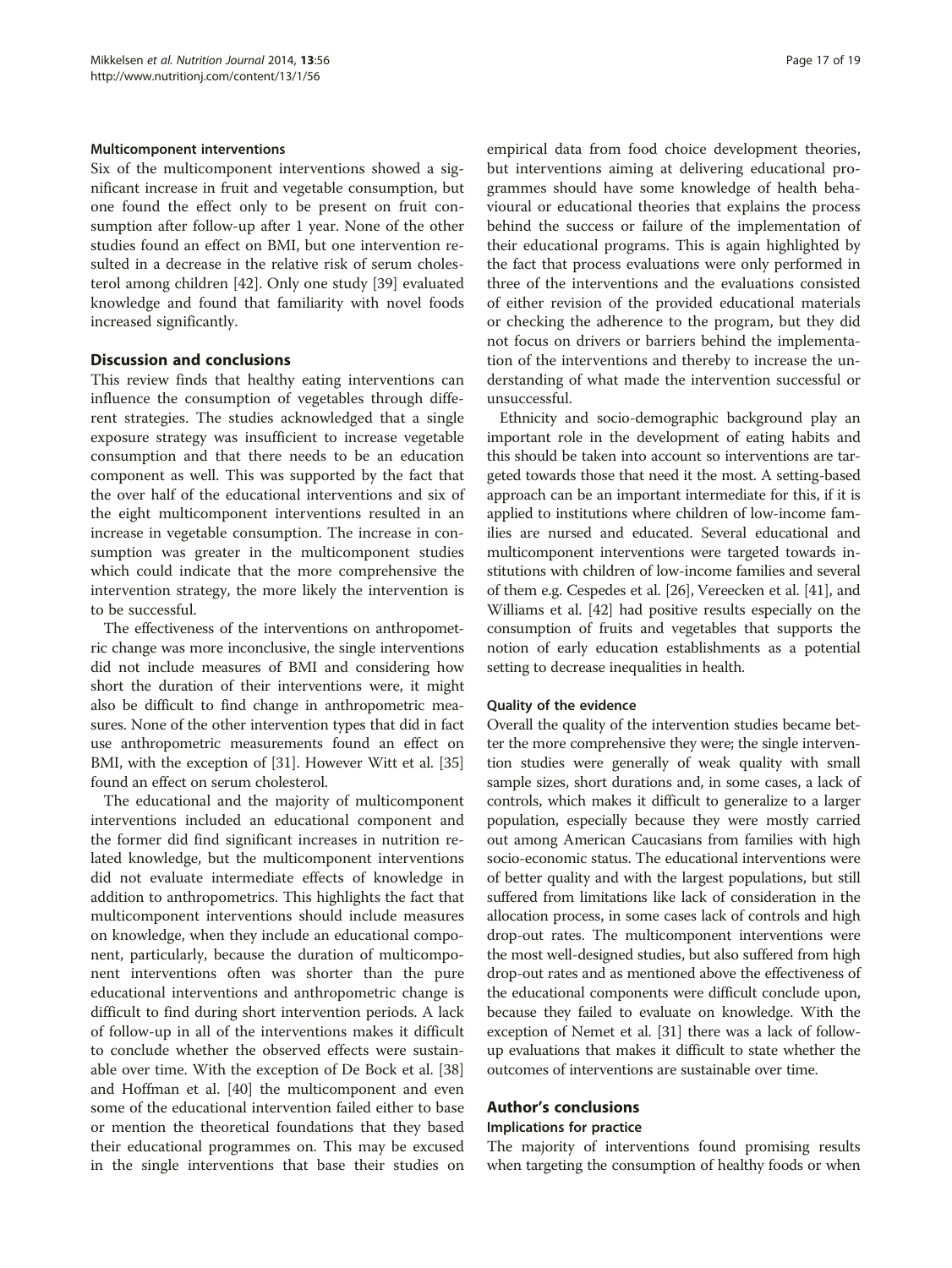#### Multicomponent interventions

Six of the multicomponent interventions showed a significant increase in fruit and vegetable consumption, but one found the effect only to be present on fruit consumption after follow-up after 1 year. None of the other studies found an effect on BMI, but one intervention resulted in a decrease in the relative risk of serum cholesterol among children [\[42\]](#page-18-0). Only one study [\[39\]](#page-18-0) evaluated knowledge and found that familiarity with novel foods increased significantly.

## Discussion and conclusions

This review finds that healthy eating interventions can influence the consumption of vegetables through different strategies. The studies acknowledged that a single exposure strategy was insufficient to increase vegetable consumption and that there needs to be an education component as well. This was supported by the fact that the over half of the educational interventions and six of the eight multicomponent interventions resulted in an increase in vegetable consumption. The increase in consumption was greater in the multicomponent studies which could indicate that the more comprehensive the intervention strategy, the more likely the intervention is to be successful.

The effectiveness of the interventions on anthropometric change was more inconclusive, the single interventions did not include measures of BMI and considering how short the duration of their interventions were, it might also be difficult to find change in anthropometric measures. None of the other intervention types that did in fact use anthropometric measurements found an effect on BMI, with the exception of [[31](#page-18-0)]. However Witt et al. [[35](#page-18-0)] found an effect on serum cholesterol.

The educational and the majority of multicomponent interventions included an educational component and the former did find significant increases in nutrition related knowledge, but the multicomponent interventions did not evaluate intermediate effects of knowledge in addition to anthropometrics. This highlights the fact that multicomponent interventions should include measures on knowledge, when they include an educational component, particularly, because the duration of multicomponent interventions often was shorter than the pure educational interventions and anthropometric change is difficult to find during short intervention periods. A lack of follow-up in all of the interventions makes it difficult to conclude whether the observed effects were sustainable over time. With the exception of De Bock et al. [[38](#page-18-0)] and Hoffman et al. [\[40](#page-18-0)] the multicomponent and even some of the educational intervention failed either to base or mention the theoretical foundations that they based their educational programmes on. This may be excused in the single interventions that base their studies on

empirical data from food choice development theories, but interventions aiming at delivering educational programmes should have some knowledge of health behavioural or educational theories that explains the process behind the success or failure of the implementation of their educational programs. This is again highlighted by the fact that process evaluations were only performed in three of the interventions and the evaluations consisted of either revision of the provided educational materials or checking the adherence to the program, but they did not focus on drivers or barriers behind the implementation of the interventions and thereby to increase the understanding of what made the intervention successful or unsuccessful.

Ethnicity and socio-demographic background play an important role in the development of eating habits and this should be taken into account so interventions are targeted towards those that need it the most. A setting-based approach can be an important intermediate for this, if it is applied to institutions where children of low-income families are nursed and educated. Several educational and multicomponent interventions were targeted towards institutions with children of low-income families and several of them e.g. Cespedes et al. [\[26](#page-18-0)], Vereecken et al. [\[41\]](#page-18-0), and Williams et al. [\[42\]](#page-18-0) had positive results especially on the consumption of fruits and vegetables that supports the notion of early education establishments as a potential setting to decrease inequalities in health.

#### Quality of the evidence

Overall the quality of the intervention studies became better the more comprehensive they were; the single intervention studies were generally of weak quality with small sample sizes, short durations and, in some cases, a lack of controls, which makes it difficult to generalize to a larger population, especially because they were mostly carried out among American Caucasians from families with high socio-economic status. The educational interventions were of better quality and with the largest populations, but still suffered from limitations like lack of consideration in the allocation process, in some cases lack of controls and high drop-out rates. The multicomponent interventions were the most well-designed studies, but also suffered from high drop-out rates and as mentioned above the effectiveness of the educational components were difficult conclude upon, because they failed to evaluate on knowledge. With the exception of Nemet et al. [\[31\]](#page-18-0) there was a lack of followup evaluations that makes it difficult to state whether the outcomes of interventions are sustainable over time.

# Author's conclusions

# Implications for practice

The majority of interventions found promising results when targeting the consumption of healthy foods or when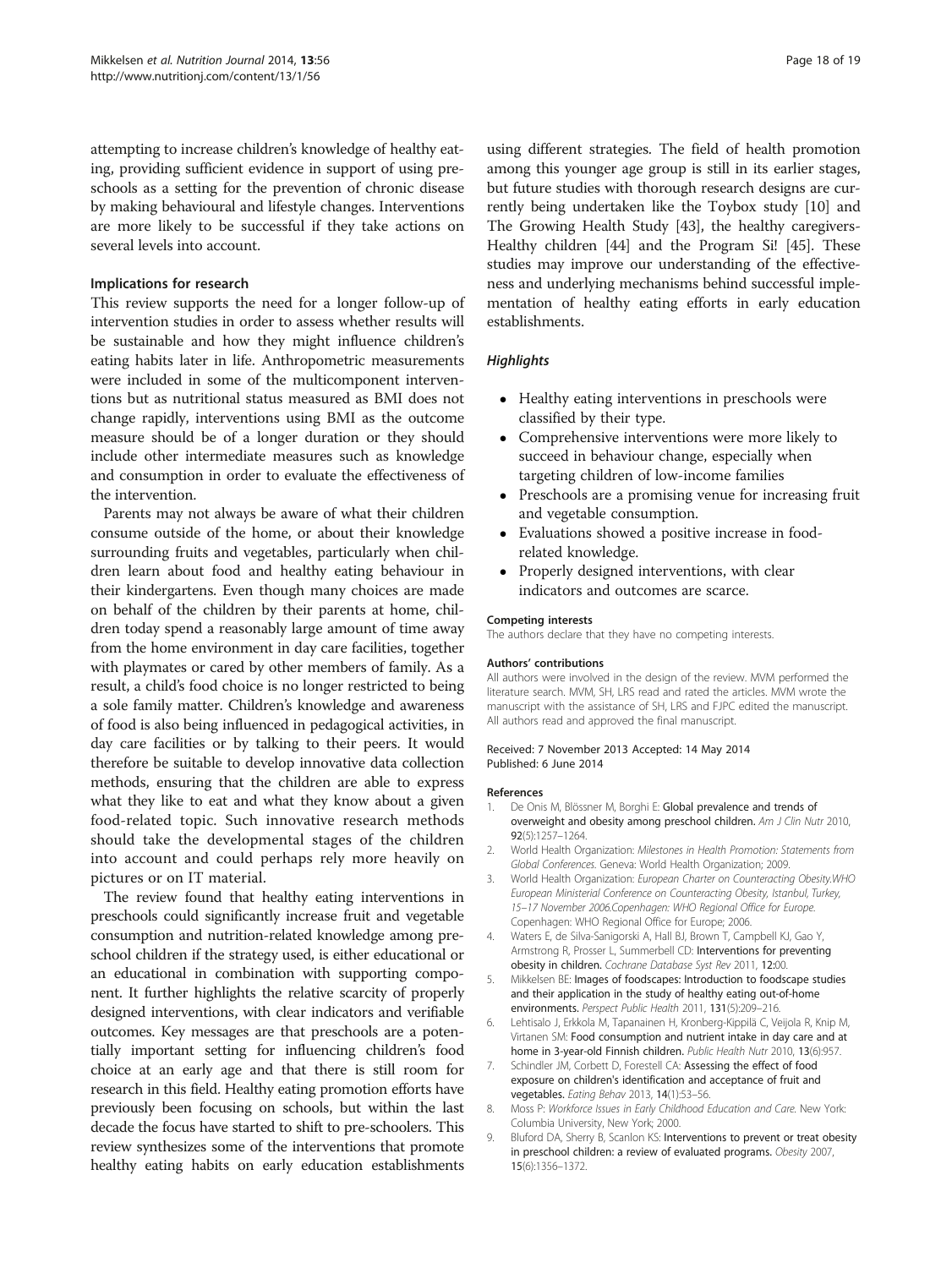<span id="page-17-0"></span>attempting to increase children's knowledge of healthy eating, providing sufficient evidence in support of using preschools as a setting for the prevention of chronic disease by making behavioural and lifestyle changes. Interventions are more likely to be successful if they take actions on several levels into account.

## Implications for research

This review supports the need for a longer follow-up of intervention studies in order to assess whether results will be sustainable and how they might influence children's eating habits later in life. Anthropometric measurements were included in some of the multicomponent interventions but as nutritional status measured as BMI does not change rapidly, interventions using BMI as the outcome measure should be of a longer duration or they should include other intermediate measures such as knowledge and consumption in order to evaluate the effectiveness of the intervention.

Parents may not always be aware of what their children consume outside of the home, or about their knowledge surrounding fruits and vegetables, particularly when children learn about food and healthy eating behaviour in their kindergartens. Even though many choices are made on behalf of the children by their parents at home, children today spend a reasonably large amount of time away from the home environment in day care facilities, together with playmates or cared by other members of family. As a result, a child's food choice is no longer restricted to being a sole family matter. Children's knowledge and awareness of food is also being influenced in pedagogical activities, in day care facilities or by talking to their peers. It would therefore be suitable to develop innovative data collection methods, ensuring that the children are able to express what they like to eat and what they know about a given food-related topic. Such innovative research methods should take the developmental stages of the children into account and could perhaps rely more heavily on pictures or on IT material.

The review found that healthy eating interventions in preschools could significantly increase fruit and vegetable consumption and nutrition-related knowledge among preschool children if the strategy used, is either educational or an educational in combination with supporting component. It further highlights the relative scarcity of properly designed interventions, with clear indicators and verifiable outcomes. Key messages are that preschools are a potentially important setting for influencing children's food choice at an early age and that there is still room for research in this field. Healthy eating promotion efforts have previously been focusing on schools, but within the last decade the focus have started to shift to pre-schoolers. This review synthesizes some of the interventions that promote healthy eating habits on early education establishments using different strategies. The field of health promotion among this younger age group is still in its earlier stages, but future studies with thorough research designs are currently being undertaken like the Toybox study [[10](#page-18-0)] and The Growing Health Study [[43](#page-18-0)], the healthy caregivers-Healthy children [[44\]](#page-18-0) and the Program Si! [[45](#page-18-0)]. These studies may improve our understanding of the effectiveness and underlying mechanisms behind successful implementation of healthy eating efforts in early education establishments.

# **Highlights**

- Healthy eating interventions in preschools were classified by their type.
- Comprehensive interventions were more likely to succeed in behaviour change, especially when targeting children of low-income families
- Preschools are a promising venue for increasing fruit and vegetable consumption.
- Evaluations showed a positive increase in foodrelated knowledge.
- Properly designed interventions, with clear indicators and outcomes are scarce.

#### Competing interests

The authors declare that they have no competing interests.

#### Authors' contributions

All authors were involved in the design of the review. MVM performed the literature search. MVM, SH, LRS read and rated the articles. MVM wrote the manuscript with the assistance of SH, LRS and FJPC edited the manuscript. All authors read and approved the final manuscript.

#### Received: 7 November 2013 Accepted: 14 May 2014 Published: 6 June 2014

#### References

- 1. De Onis M, Blössner M, Borghi E: Global prevalence and trends of overweight and obesity among preschool children. Am J Clin Nutr 2010, 92(5):1257–1264.
- 2. World Health Organization: Milestones in Health Promotion: Statements from Global Conferences. Geneva: World Health Organization; 2009.
- 3. World Health Organization: European Charter on Counteracting Obesity.WHO European Ministerial Conference on Counteracting Obesity, Istanbul, Turkey, 15–17 November 2006.Copenhagen: WHO Regional Office for Europe. Copenhagen: WHO Regional Office for Europe; 2006.
- 4. Waters E, de Silva-Sanigorski A, Hall BJ, Brown T, Campbell KJ, Gao Y, Armstrong R, Prosser L, Summerbell CD: Interventions for preventing obesity in children. Cochrane Database Syst Rev 2011, 12:00.
- 5. Mikkelsen BE: Images of foodscapes: Introduction to foodscape studies and their application in the study of healthy eating out-of-home environments. Perspect Public Health 2011, 131(5):209–216.
- 6. Lehtisalo J, Erkkola M, Tapanainen H, Kronberg-Kippilä C, Veijola R, Knip M, Virtanen SM: Food consumption and nutrient intake in day care and at home in 3-year-old Finnish children. Public Health Nutr 2010, 13(6):957.
- 7. Schindler JM, Corbett D, Forestell CA: Assessing the effect of food exposure on children's identification and acceptance of fruit and vegetables. Eating Behav 2013, 14(1):53–56.
- 8. Moss P: Workforce Issues in Early Childhood Education and Care. New York: Columbia University, New York; 2000.
- 9. Bluford DA, Sherry B, Scanlon KS: Interventions to prevent or treat obesity in preschool children: a review of evaluated programs. Obesity 2007, 15(6):1356–1372.